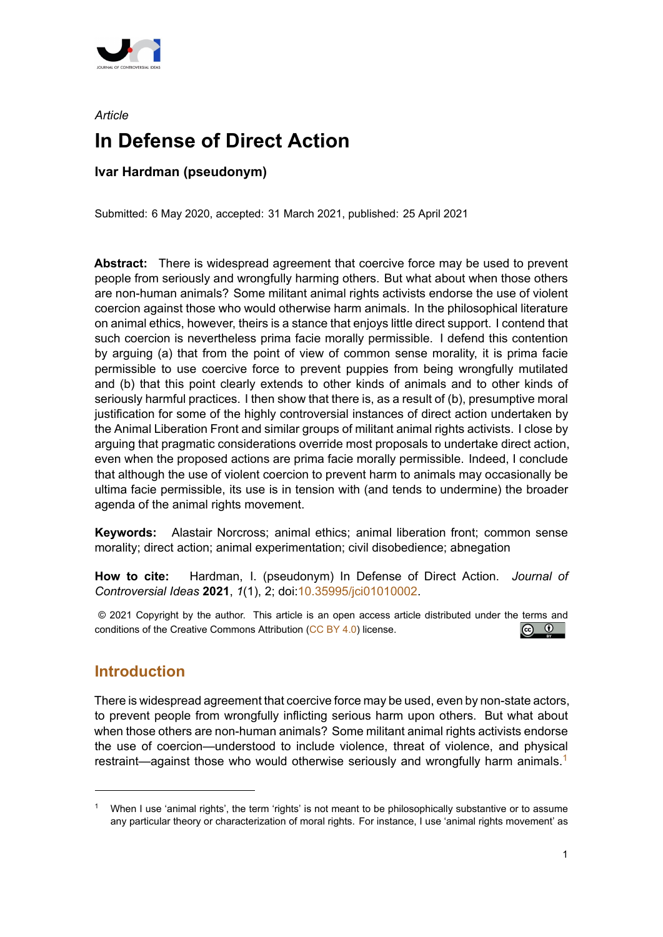

# *Article* **In Defense of Direct Action**

## **Ivar Hardman (pseudonym)**

Submitted: 6 May 2020, accepted: 31 March 2021, published: 25 April 2021

**Abstract:** There is widespread agreement that coercive force may be used to prevent people from seriously and wrongfully harming others. But what about when those others are non-human animals? Some militant animal rights activists endorse the use of violent coercion against those who would otherwise harm animals. In the philosophical literature on animal ethics, however, theirs is a stance that enjoys little direct support. I contend that such coercion is nevertheless prima facie morally permissible. I defend this contention by arguing (a) that from the point of view of common sense morality, it is prima facie permissible to use coercive force to prevent puppies from being wrongfully mutilated and (b) that this point clearly extends to other kinds of animals and to other kinds of seriously harmful practices. I then show that there is, as a result of (b), presumptive moral justification for some of the highly controversial instances of direct action undertaken by the Animal Liberation Front and similar groups of militant animal rights activists. I close by arguing that pragmatic considerations override most proposals to undertake direct action, even when the proposed actions are prima facie morally permissible. Indeed, I conclude that although the use of violent coercion to prevent harm to animals may occasionally be ultima facie permissible, its use is in tension with (and tends to undermine) the broader agenda of the animal rights movement.

**Keywords:** Alastair Norcross; animal ethics; animal liberation front; common sense morality; direct action; animal experimentation; civil disobedience; abnegation

**How to cite:** Hardman, I. (pseudonym) In Defense of Direct Action. *Journal of Controversial Ideas* **2021**, *1*(1), 2; doi:10.35995/jci01010002.

© 2021 Copyright by the author. This article is an open access article distributed under the terms and  $\boxed{6}$   $\boxed{0}$ conditions of the Creative Commons Attribution (CC BY 4.0) license.

## **Introduction**

There is widespread agreement that coercive force may be used, even by non-state actors, to prevent people from wrongfully inflicting serious harm upon others. But what about when those others are non-human animals? Some militant animal rights activists endorse the use of coercion—understood to include violence, threat of violence, and physical restraint—against those who would otherwise seriously and wrongfully harm animals.<sup>1</sup>

When I use 'animal rights', the term 'rights' is not meant to be philosophically substantive or to assume any particular theory or characterization of moral rights. For instance, I use 'animal rights movement' as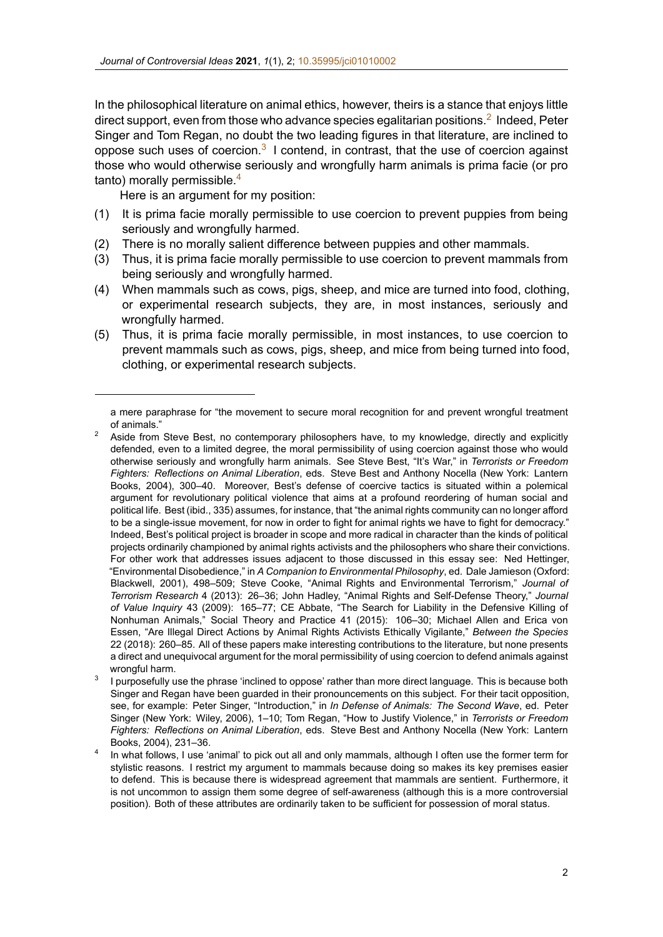In the philosophical literature on animal ethics, however, theirs is a stance that enjoys little direct support, even from those who a[dvance species ega](https://doi.org/10.35995/jci01010002)litarian positions.<sup>2</sup> Indeed, Peter Singer and Tom Regan, no doubt the two leading figures in that literature, are inclined to oppose such uses of coercion.<sup>3</sup> I contend, in contrast, that the use of coercion against those who would otherwise seriously and wrongfully harm animals is prima facie (or pro tanto) morally permissible.<sup>4</sup>

Here is an argument for my position:

- (1) It is prima facie morally permissible to use coercion to prevent puppies from being seriously and wrongfully harmed.
- (2) There is no morally salient difference between puppies and other mammals.
- (3) Thus, it is prima facie morally permissible to use coercion to prevent mammals from being seriously and wrongfully harmed.
- (4) When mammals such as cows, pigs, sheep, and mice are turned into food, clothing, or experimental research subjects, they are, in most instances, seriously and wrongfully harmed.
- (5) Thus, it is prima facie morally permissible, in most instances, to use coercion to prevent mammals such as cows, pigs, sheep, and mice from being turned into food, clothing, or experimental research subjects.

a mere paraphrase for "the movement to secure moral recognition for and prevent wrongful treatment of animals."

 $2^2$  Aside from Steve Best, no contemporary philosophers have, to my knowledge, directly and explicitly defended, even to a limited degree, the moral permissibility of using coercion against those who would otherwise seriously and wrongfully harm animals. See Steve Best, "It's War," in *Terrorists or Freedom Fighters: Reflections on Animal Liberation*, eds. Steve Best and Anthony Nocella (New York: Lantern Books, 2004), 300–40. Moreover, Best's defense of coercive tactics is situated within a polemical argument for revolutionary political violence that aims at a profound reordering of human social and political life. Best (ibid., 335) assumes, for instance, that "the animal rights community can no longer afford to be a single-issue movement, for now in order to fight for animal rights we have to fight for democracy." Indeed, Best's political project is broader in scope and more radical in character than the kinds of political projects ordinarily championed by animal rights activists and the philosophers who share their convictions. For other work that addresses issues adjacent to those discussed in this essay see: Ned Hettinger, "Environmental Disobedience," in *A Companion to Environmental Philosophy*, ed. Dale Jamieson (Oxford: Blackwell, 2001), 498–509; Steve Cooke, "Animal Rights and Environmental Terrorism," *Journal of Terrorism Research* 4 (2013): 26–36; John Hadley, "Animal Rights and SelfDefense Theory," *Journal of Value Inquiry* 43 (2009): 165–77; CE Abbate, "The Search for Liability in the Defensive Killing of Nonhuman Animals," Social Theory and Practice 41 (2015): 106–30; Michael Allen and Erica von Essen, "Are Illegal Direct Actions by Animal Rights Activists Ethically Vigilante," *Between the Species* 22 (2018): 260–85. All of these papers make interesting contributions to the literature, but none presents a direct and unequivocal argument for the moral permissibility of using coercion to defend animals against wrongful harm.

<sup>3</sup> I purposefully use the phrase 'inclined to oppose' rather than more direct language. This is because both Singer and Regan have been guarded in their pronouncements on this subject. For their tacit opposition, see, for example: Peter Singer, "Introduction," in *In Defense of Animals: The Second Wave*, ed. Peter Singer (New York: Wiley, 2006), 1–10; Tom Regan, "How to Justify Violence," in *Terrorists or Freedom Fighters: Reflections on Animal Liberation*, eds. Steve Best and Anthony Nocella (New York: Lantern Books, 2004), 231–36.

<sup>4</sup> In what follows, I use 'animal' to pick out all and only mammals, although I often use the former term for stylistic reasons. I restrict my argument to mammals because doing so makes its key premises easier to defend. This is because there is widespread agreement that mammals are sentient. Furthermore, it is not uncommon to assign them some degree of self-awareness (although this is a more controversial position). Both of these attributes are ordinarily taken to be sufficient for possession of moral status.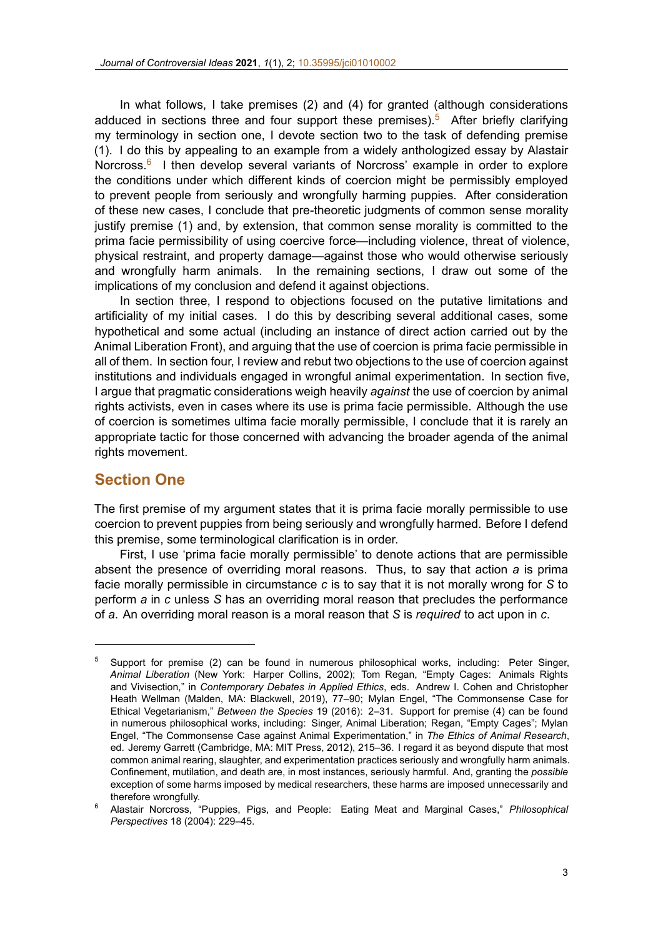In what follows, I take premises (2) and (4) for granted (although considerations adduced in sections three and four [support these prem](https://doi.org/10.35995/jci01010002)ises).<sup>5</sup> After briefly clarifying my terminology in section one, I devote section two to the task of defending premise (1). I do this by appealing to an example from a widely anthologized essay by Alastair Norcross.<sup>6</sup> I then develop several variants of Norcross' example in order to explore the conditions under which different kinds of coercion might be permissibly employed to prevent people from seriously and wrongfully harming puppies. After consideration of these new cases, I conclude that pre-theoretic judgments of common sense morality justify premise (1) and, by extension, that common sense morality is committed to the prima facie permissibility of using coercive force—including violence, threat of violence, physical restraint, and property damage—against those who would otherwise seriously and wrongfully harm animals. In the remaining sections, I draw out some of the implications of my conclusion and defend it against objections.

In section three, I respond to objections focused on the putative limitations and artificiality of my initial cases. I do this by describing several additional cases, some hypothetical and some actual (including an instance of direct action carried out by the Animal Liberation Front), and arguing that the use of coercion is prima facie permissible in all of them. In section four, I review and rebut two objections to the use of coercion against institutions and individuals engaged in wrongful animal experimentation. In section five, I argue that pragmatic considerations weigh heavily *against* the use of coercion by animal rights activists, even in cases where its use is prima facie permissible. Although the use of coercion is sometimes ultima facie morally permissible, I conclude that it is rarely an appropriate tactic for those concerned with advancing the broader agenda of the animal rights movement.

#### **Section One**

The first premise of my argument states that it is prima facie morally permissible to use coercion to prevent puppies from being seriously and wrongfully harmed. Before I defend this premise, some terminological clarification is in order.

First, I use 'prima facie morally permissible' to denote actions that are permissible absent the presence of overriding moral reasons. Thus, to say that action *a* is prima facie morally permissible in circumstance *c* is to say that it is not morally wrong for *S* to perform *a* in *c* unless *S* has an overriding moral reason that precludes the performance of *a*. An overriding moral reason is a moral reason that *S* is *required* to act upon in *c*.

 $5$  Support for premise (2) can be found in numerous philosophical works, including: Peter Singer, *Animal Liberation* (New York: Harper Collins, 2002); Tom Regan, "Empty Cages: Animals Rights and Vivisection," in *Contemporary Debates in Applied Ethics*, eds. Andrew I. Cohen and Christopher Heath Wellman (Malden, MA: Blackwell, 2019), 77–90; Mylan Engel, "The Commonsense Case for Ethical Vegetarianism," *Between the Species* 19 (2016): 2–31. Support for premise (4) can be found in numerous philosophical works, including: Singer, Animal Liberation; Regan, "Empty Cages"; Mylan Engel, "The Commonsense Case against Animal Experimentation," in *The Ethics of Animal Research*, ed. Jeremy Garrett (Cambridge, MA: MIT Press, 2012), 215–36. I regard it as beyond dispute that most common animal rearing, slaughter, and experimentation practices seriously and wrongfully harm animals. Confinement, mutilation, and death are, in most instances, seriously harmful. And, granting the *possible* exception of some harms imposed by medical researchers, these harms are imposed unnecessarily and therefore wrongfully.

<sup>6</sup> Alastair Norcross, "Puppies, Pigs, and People: Eating Meat and Marginal Cases," *Philosophical Perspectives* 18 (2004): 229–45.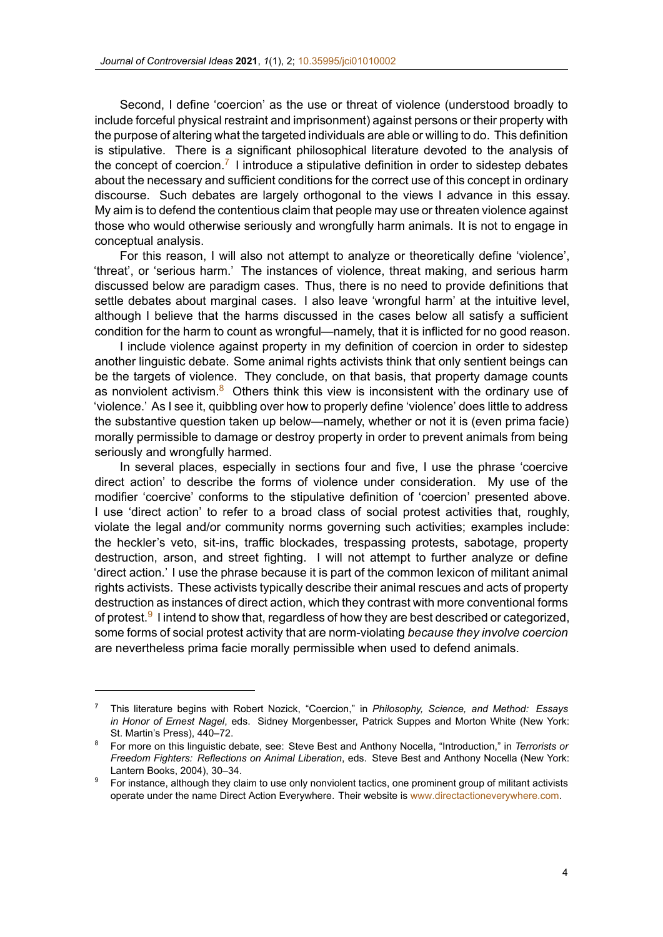Second, I define 'coercion' as the use or threat of violence (understood broadly to include forceful physical restraint andi[mprisonment\) again](https://doi.org/10.35995/jci01010002)st persons or their property with the purpose of altering what the targeted individuals are able or willing to do. This definition is stipulative. There is a significant philosophical literature devoted to the analysis of the concept of coercion.<sup>7</sup> I introduce a stipulative definition in order to sidestep debates about the necessary and sufficient conditions for the correct use of this concept in ordinary discourse. Such debates are largely orthogonal to the views I advance in this essay. My aim is to defend the contentious claim that people may use or threaten violence against those who would otherwise seriously and wrongfully harm animals. It is not to engage in conceptual analysis.

For this reason, I will also not attempt to analyze or theoretically define 'violence', 'threat', or 'serious harm.' The instances of violence, threat making, and serious harm discussed below are paradigm cases. Thus, there is no need to provide definitions that settle debates about marginal cases. I also leave 'wrongful harm' at the intuitive level, although I believe that the harms discussed in the cases below all satisfy a sufficient condition for the harm to count as wrongful—namely, that it is inflicted for no good reason.

I include violence against property in my definition of coercion in order to sidestep another linguistic debate. Some animal rights activists think that only sentient beings can be the targets of violence. They conclude, on that basis, that property damage counts as nonviolent activism. $8\text{ O}$ thers think this view is inconsistent with the ordinary use of 'violence.' As I see it, quibbling over how to properly define 'violence' does little to address the substantive question taken up below—namely, whether or not it is (even prima facie) morally permissible to damage or destroy property in order to prevent animals from being seriously and wrongfully harmed.

In several places, especially in sections four and five, I use the phrase 'coercive direct action' to describe the forms of violence under consideration. My use of the modifier 'coercive' conforms to the stipulative definition of 'coercion' presented above. I use 'direct action' to refer to a broad class of social protest activities that, roughly, violate the legal and/or community norms governing such activities; examples include: the heckler's veto, sit-ins, traffic blockades, trespassing protests, sabotage, property destruction, arson, and street fighting. I will not attempt to further analyze or define 'direct action.' I use the phrase because it is part of the common lexicon of militant animal rights activists. These activists typically describe their animal rescues and acts of property destruction as instances of direct action, which they contrast with more conventional forms of protest.<sup>9</sup> I intend to show that, regardless of how they are best described or categorized, some forms of social protest activity that are norm-violating *because they involve coercion* are nevertheless prima facie morally permissible when used to defend animals.

<sup>7</sup> This literature begins with Robert Nozick, "Coercion," in *Philosophy, Science, and Method: Essays in Honor of Ernest Nagel*, eds. Sidney Morgenbesser, Patrick Suppes and Morton White (New York: St. Martin's Press), 440–72.

<sup>8</sup> For more on this linguistic debate, see: Steve Best and Anthony Nocella, "Introduction," in *Terrorists or Freedom Fighters: Reflections on Animal Liberation*, eds. Steve Best and Anthony Nocella (New York: Lantern Books, 2004), 30–34.

<sup>&</sup>lt;sup>9</sup> For instance, although they claim to use only nonviolent tactics, one prominent group of militant activists operate under the name Direct Action Everywhere. Their website is www.directactioneverywhere.com.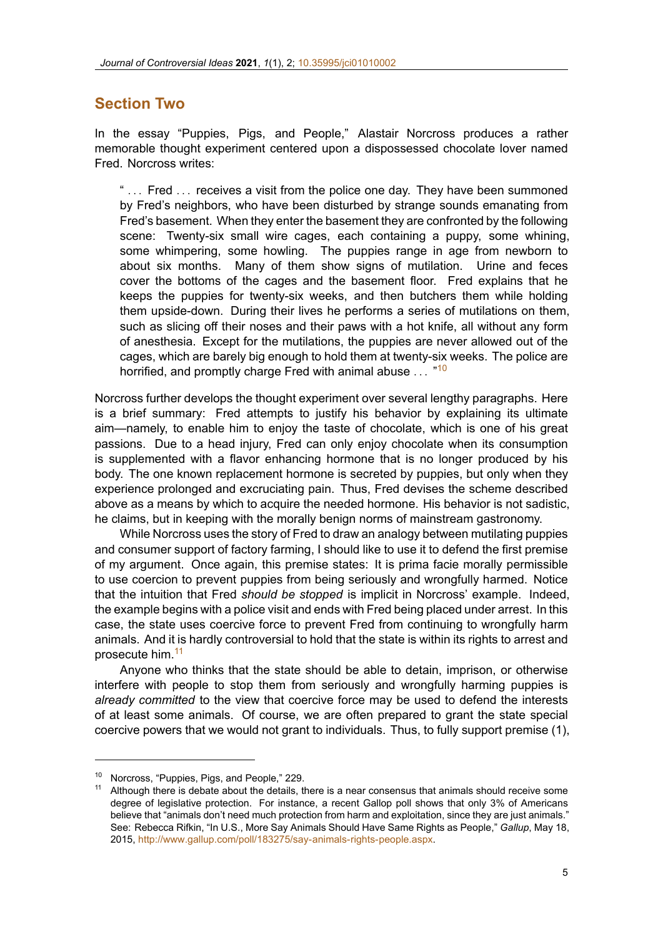## **Section Two**

In the essay "Puppies, Pigs, and People," Alastair Norcross produces a rather memorable thought experiment centered upon a dispossessed chocolate lover named Fred. Norcross writes:

" *. . .* Fred *. . .* receives a visit from the police one day. They have been summoned by Fred's neighbors, who have been disturbed by strange sounds emanating from Fred's basement. When they enter the basement they are confronted by the following scene: Twenty-six small wire cages, each containing a puppy, some whining, some whimpering, some howling. The puppies range in age from newborn to about six months. Many of them show signs of mutilation. Urine and feces cover the bottoms of the cages and the basement floor. Fred explains that he keeps the puppies for twenty-six weeks, and then butchers them while holding them upside-down. During their lives he performs a series of mutilations on them, such as slicing off their noses and their paws with a hot knife, all without any form of anesthesia. Except for the mutilations, the puppies are never allowed out of the cages, which are barely big enough to hold them at twenty-six weeks. The police are horrified, and promptly charge Fred with animal abuse *. . .* " 10

Norcross further develops the thought experiment over several lengthy paragraphs. Here is a brief summary: Fred attempts to justify his behavior by explaining its ultimate aim—namely, to enable him to enjoy the taste of chocolate, which is one of his great passions. Due to a head injury, Fred can only enjoy chocolate when its consumption is supplemented with a flavor enhancing hormone that is no longer produced by his body. The one known replacement hormone is secreted by puppies, but only when they experience prolonged and excruciating pain. Thus, Fred devises the scheme described above as a means by which to acquire the needed hormone. His behavior is not sadistic, he claims, but in keeping with the morally benign norms of mainstream gastronomy.

While Norcross uses the story of Fred to draw an analogy between mutilating puppies and consumer support of factory farming, I should like to use it to defend the first premise of my argument. Once again, this premise states: It is prima facie morally permissible to use coercion to prevent puppies from being seriously and wrongfully harmed. Notice that the intuition that Fred *should be stopped* is implicit in Norcross' example. Indeed, the example begins with a police visit and ends with Fred being placed under arrest. In this case, the state uses coercive force to prevent Fred from continuing to wrongfully harm animals. And it is hardly controversial to hold that the state is within its rights to arrest and prosecute him.<sup>11</sup>

Anyone who thinks that the state should be able to detain, imprison, or otherwise interfere with people to stop them from seriously and wrongfully harming puppies is *already committed* to the view that coercive force may be used to defend the interests of at least some animals. Of course, we are often prepared to grant the state special coercive powers that we would not grant to individuals. Thus, to fully support premise (1),

<sup>10</sup> Norcross, "Puppies, Pigs, and People," 229.

Although there is debate about the details, there is a near consensus that animals should receive some degree of legislative protection. For instance, a recent Gallop poll shows that only 3% of Americans believe that "animals don't need much protection from harm and exploitation, since they are just animals." See: Rebecca Rifkin, "In U.S., More Say Animals Should Have Same Rights as People," *Gallup*, May 18, 2015, http://www.gallup.com/poll/183275/say-animals-rights-people.aspx.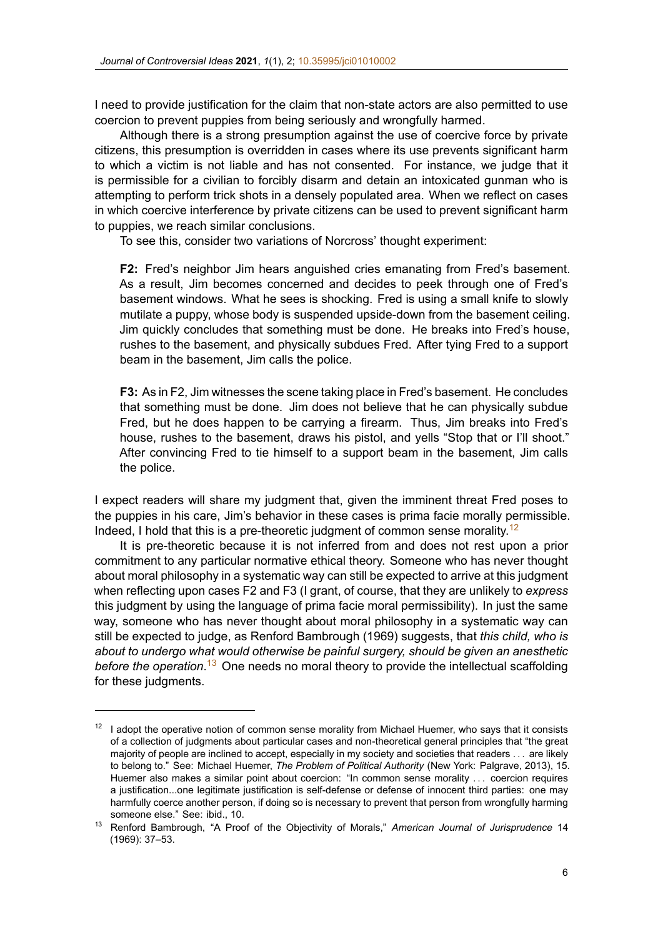I need to provide justification for the claim that non-state actors are also permitted to use coercion to prevent puppies from bei[ng seriously and wro](https://doi.org/10.35995/jci01010002)ngfully harmed.

Although there is a strong presumption against the use of coercive force by private citizens, this presumption is overridden in cases where its use prevents significant harm to which a victim is not liable and has not consented. For instance, we judge that it is permissible for a civilian to forcibly disarm and detain an intoxicated gunman who is attempting to perform trick shots in a densely populated area. When we reflect on cases in which coercive interference by private citizens can be used to prevent significant harm to puppies, we reach similar conclusions.

To see this, consider two variations of Norcross' thought experiment:

**F2:** Fred's neighbor Jim hears anguished cries emanating from Fred's basement. As a result, Jim becomes concerned and decides to peek through one of Fred's basement windows. What he sees is shocking. Fred is using a small knife to slowly mutilate a puppy, whose body is suspended upside-down from the basement ceiling. Jim quickly concludes that something must be done. He breaks into Fred's house, rushes to the basement, and physically subdues Fred. After tying Fred to a support beam in the basement, Jim calls the police.

**F3:** As in F2, Jim witnesses the scene taking place in Fred's basement. He concludes that something must be done. Jim does not believe that he can physically subdue Fred, but he does happen to be carrying a firearm. Thus, Jim breaks into Fred's house, rushes to the basement, draws his pistol, and yells "Stop that or I'll shoot." After convincing Fred to tie himself to a support beam in the basement, Jim calls the police.

I expect readers will share my judgment that, given the imminent threat Fred poses to the puppies in his care, Jim's behavior in these cases is prima facie morally permissible. Indeed, I hold that this is a pre-theoretic judgment of common sense morality.<sup>12</sup>

It is pre-theoretic because it is not inferred from and does not rest upon a prior commitment to any particular normative ethical theory. Someone who has never thought about moral philosophy in a systematic way can still be expected to arrive at this judgment when reflecting upon cases F2 and F3 (I grant, of course, that they are unlikely to *express* this judgment by using the language of prima facie moral permissibility). In just the same way, someone who has never thought about moral philosophy in a systematic way can still be expected to judge, as Renford Bambrough (1969) suggests, that *this child, who is about to undergo what would otherwise be painful surgery, should be given an anesthetic before the operation*. <sup>13</sup> One needs no moral theory to provide the intellectual scaffolding for these judgments.

 $12$  I adopt the operative notion of common sense morality from Michael Huemer, who says that it consists of a collection of judgments about particular cases and nontheoretical general principles that "the great majority of people are inclined to accept, especially in my society and societies that readers *. . .* are likely to belong to." See: Michael Huemer, *The Problem of Political Authority* (New York: Palgrave, 2013), 15. Huemer also makes a similar point about coercion: "In common sense morality *. . .* coercion requires a justification...one legitimate justification is self-defense or defense of innocent third parties: one may harmfully coerce another person, if doing so is necessary to prevent that person from wrongfully harming someone else." See: ibid., 10.

<sup>13</sup> Renford Bambrough, "A Proof of the Objectivity of Morals," *American Journal of Jurisprudence* 14 (1969): 37–53.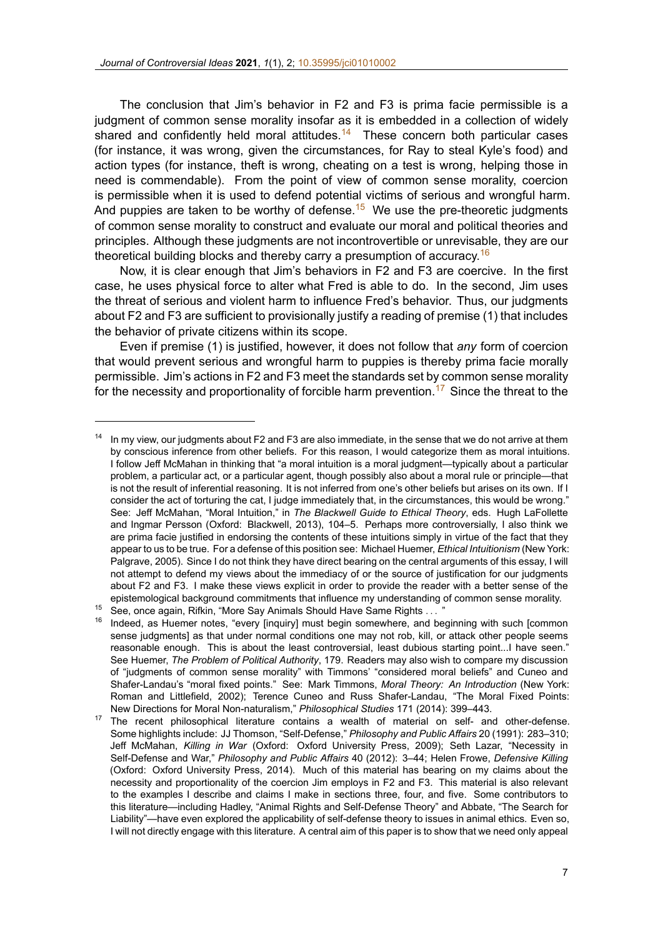The conclusion that Jim's behavior in F2 and F3 is prima facie permissible is a judgment of common sense morality [insofar as it is emb](https://doi.org/10.35995/jci01010002)edded in a collection of widely shared and confidently held moral attitudes.<sup>14</sup> These concern both particular cases (for instance, it was wrong, given the circumstances, for Ray to steal Kyle's food) and action types (for instance, theft is wrong, cheating on a test is wrong, helping those in need is commendable). From the point of view of common sense morality, coercion is permissible when it is used to defend potential victims of serious and wrongful harm. And puppies are taken to be worthy of defense.<sup>15</sup> We use the pre-theoretic judgments of common sense morality to construct and evaluate our moral and political theories and principles. Although these judgments are not incontrovertible or unrevisable, they are our theoretical building blocks and thereby carry a presumption of accuracy.<sup>16</sup>

Now, it is clear enough that Jim's behaviors in F2 and F3 are coercive. In the first case, he uses physical force to alter what Fred is able to do. In the second, Jim uses the threat of serious and violent harm to influence Fred's behavior. Thus, our judgments about F2 and F3 are sufficient to provisionally justify a reading of premise (1) that includes the behavior of private citizens within its scope.

Even if premise (1) is justified, however, it does not follow that *any* form of coercion that would prevent serious and wrongful harm to puppies is thereby prima facie morally permissible. Jim's actions in F2 and F3 meet the standards set by common sense morality for the necessity and proportionality of forcible harm prevention.<sup>17</sup> Since the threat to the

In my view, our judgments about F2 and F3 are also immediate, in the sense that we do not arrive at them by conscious inference from other beliefs. For this reason, I would categorize them as moral intuitions. I follow Jeff McMahan in thinking that "a moral intuition is a moral judgment—typically about a particular problem, a particular act, or a particular agent, though possibly also about a moral rule or principle—that is not the result of inferential reasoning. It is not inferred from one's other beliefs but arises on its own. If I consider the act of torturing the cat, I judge immediately that, in the circumstances, this would be wrong." See: Jeff McMahan, "Moral Intuition," in *The Blackwell Guide to Ethical Theory*, eds. Hugh LaFollette and Ingmar Persson (Oxford: Blackwell, 2013), 104–5. Perhaps more controversially, I also think we are prima facie justified in endorsing the contents of these intuitions simply in virtue of the fact that they appear to us to be true. For a defense of this position see: Michael Huemer, *Ethical Intuitionism* (New York: Palgrave, 2005). Since I do not think they have direct bearing on the central arguments of this essay, I will not attempt to defend my views about the immediacy of or the source of justification for our judgments about F2 and F3. I make these views explicit in order to provide the reader with a better sense of the epistemological background commitments that influence my understanding of common sense morality.

<sup>15</sup> See, once again, Rifkin, "More Say Animals Should Have Same Rights *. . .* "

<sup>16</sup> Indeed, as Huemer notes, "every [inquiry] must begin somewhere, and beginning with such [common sense judgments] as that under normal conditions one may not rob, kill, or attack other people seems reasonable enough. This is about the least controversial, least dubious starting point...I have seen." See Huemer, *The Problem of Political Authority*, 179. Readers may also wish to compare my discussion of "judgments of common sense morality" with Timmons' "considered moral beliefs" and Cuneo and ShaferLandau's "moral fixed points." See: Mark Timmons, *Moral Theory: An Introduction* (New York: Roman and Littlefield, 2002); Terence Cuneo and Russ ShaferLandau, "The Moral Fixed Points: New Directions for Moral Non-naturalism," Philosophical Studies 171 (2014): 399-443.

 $17$  The recent philosophical literature contains a wealth of material on self- and other-defense. Some highlights include: JJ Thomson, "Self-Defense," *Philosophy and Public Affairs* 20 (1991): 283–310; Jeff McMahan, *Killing in War* (Oxford: Oxford University Press, 2009); Seth Lazar, "Necessity in Self-Defense and War," Philosophy and Public Affairs 40 (2012): 3-44; Helen Frowe, Defensive Killing (Oxford: Oxford University Press, 2014). Much of this material has bearing on my claims about the necessity and proportionality of the coercion Jim employs in F2 and F3. This material is also relevant to the examples I describe and claims I make in sections three, four, and five. Some contributors to this literature—including Hadley, "Animal Rights and Self-Defense Theory" and Abbate, "The Search for Liability"—have even explored the applicability of self-defense theory to issues in animal ethics. Even so, I will not directly engage with this literature. A central aim of this paper is to show that we need only appeal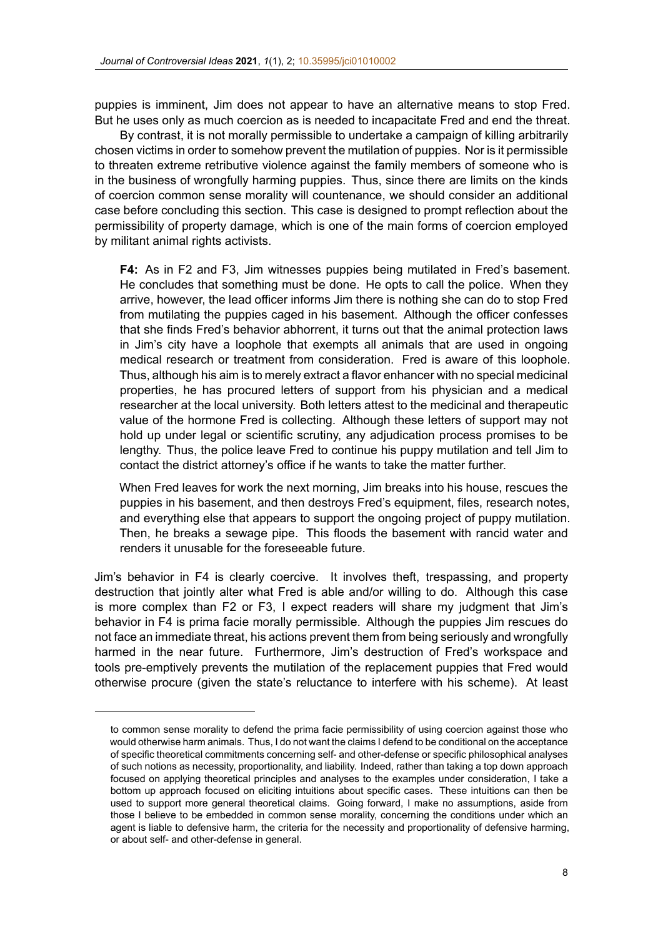puppies is imminent, Jim does not appear to have an alternative means to stop Fred. But he uses only as much coercion a[s is needed to incap](https://doi.org/10.35995/jci01010002)acitate Fred and end the threat.

By contrast, it is not morally permissible to undertake a campaign of killing arbitrarily chosen victims in order to somehow prevent the mutilation of puppies. Nor is it permissible to threaten extreme retributive violence against the family members of someone who is in the business of wrongfully harming puppies. Thus, since there are limits on the kinds of coercion common sense morality will countenance, we should consider an additional case before concluding this section. This case is designed to prompt reflection about the permissibility of property damage, which is one of the main forms of coercion employed by militant animal rights activists.

**F4:** As in F2 and F3, Jim witnesses puppies being mutilated in Fred's basement. He concludes that something must be done. He opts to call the police. When they arrive, however, the lead officer informs Jim there is nothing she can do to stop Fred from mutilating the puppies caged in his basement. Although the officer confesses that she finds Fred's behavior abhorrent, it turns out that the animal protection laws in Jim's city have a loophole that exempts all animals that are used in ongoing medical research or treatment from consideration. Fred is aware of this loophole. Thus, although his aim is to merely extract a flavor enhancer with no special medicinal properties, he has procured letters of support from his physician and a medical researcher at the local university. Both letters attest to the medicinal and therapeutic value of the hormone Fred is collecting. Although these letters of support may not hold up under legal or scientific scrutiny, any adjudication process promises to be lengthy. Thus, the police leave Fred to continue his puppy mutilation and tell Jim to contact the district attorney's office if he wants to take the matter further.

When Fred leaves for work the next morning, Jim breaks into his house, rescues the puppies in his basement, and then destroys Fred's equipment, files, research notes, and everything else that appears to support the ongoing project of puppy mutilation. Then, he breaks a sewage pipe. This floods the basement with rancid water and renders it unusable for the foreseeable future.

Jim's behavior in F4 is clearly coercive. It involves theft, trespassing, and property destruction that jointly alter what Fred is able and/or willing to do. Although this case is more complex than F2 or F3, I expect readers will share my judgment that Jim's behavior in F4 is prima facie morally permissible. Although the puppies Jim rescues do not face an immediate threat, his actions prevent them from being seriously and wrongfully harmed in the near future. Furthermore, Jim's destruction of Fred's workspace and tools pre-emptively prevents the mutilation of the replacement puppies that Fred would otherwise procure (given the state's reluctance to interfere with his scheme). At least

to common sense morality to defend the prima facie permissibility of using coercion against those who would otherwise harm animals. Thus, I do not want the claims I defend to be conditional on the acceptance of specific theoretical commitments concerning self- and other-defense or specific philosophical analyses of such notions as necessity, proportionality, and liability. Indeed, rather than taking a top down approach focused on applying theoretical principles and analyses to the examples under consideration, I take a bottom up approach focused on eliciting intuitions about specific cases. These intuitions can then be used to support more general theoretical claims. Going forward, I make no assumptions, aside from those I believe to be embedded in common sense morality, concerning the conditions under which an agent is liable to defensive harm, the criteria for the necessity and proportionality of defensive harming, or about self- and other-defense in general.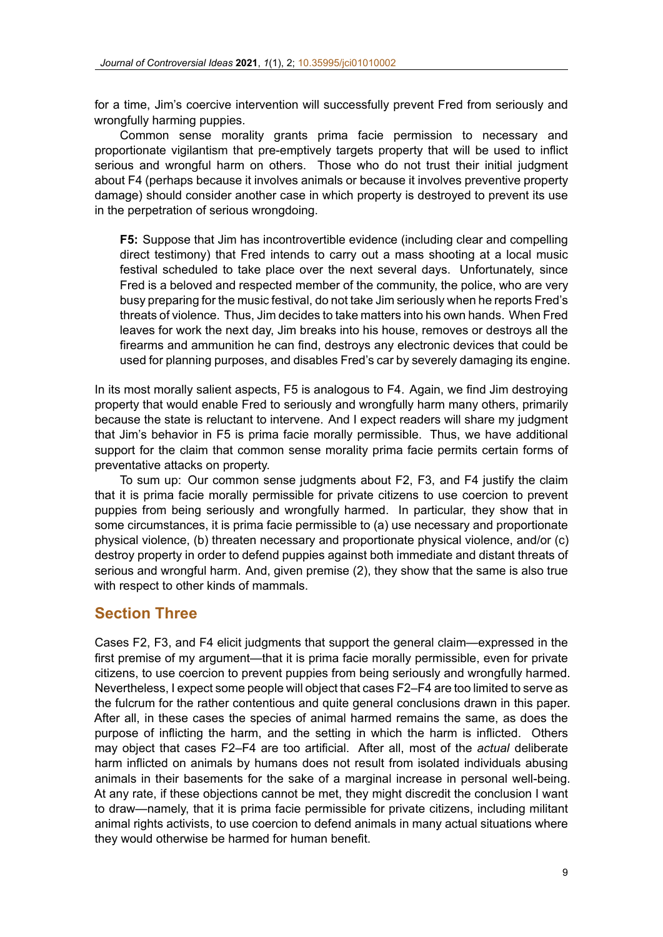for a time, Jim's coercive intervention will successfully prevent Fred from seriously and wrongfully harming puppies.

Common sense morality grants prima facie permission to necessary and proportionate vigilantism that pre-emptively targets property that will be used to inflict serious and wrongful harm on others. Those who do not trust their initial judgment about F4 (perhaps because it involves animals or because it involves preventive property damage) should consider another case in which property is destroyed to prevent its use in the perpetration of serious wrongdoing.

**F5:** Suppose that Jim has incontrovertible evidence (including clear and compelling direct testimony) that Fred intends to carry out a mass shooting at a local music festival scheduled to take place over the next several days. Unfortunately, since Fred is a beloved and respected member of the community, the police, who are very busy preparing for the music festival, do not take Jim seriously when he reports Fred's threats of violence. Thus, Jim decides to take matters into his own hands. When Fred leaves for work the next day, Jim breaks into his house, removes or destroys all the firearms and ammunition he can find, destroys any electronic devices that could be used for planning purposes, and disables Fred's car by severely damaging its engine.

In its most morally salient aspects, F5 is analogous to F4. Again, we find Jim destroying property that would enable Fred to seriously and wrongfully harm many others, primarily because the state is reluctant to intervene. And I expect readers will share my judgment that Jim's behavior in F5 is prima facie morally permissible. Thus, we have additional support for the claim that common sense morality prima facie permits certain forms of preventative attacks on property.

To sum up: Our common sense judgments about F2, F3, and F4 justify the claim that it is prima facie morally permissible for private citizens to use coercion to prevent puppies from being seriously and wrongfully harmed. In particular, they show that in some circumstances, it is prima facie permissible to (a) use necessary and proportionate physical violence, (b) threaten necessary and proportionate physical violence, and/or (c) destroy property in order to defend puppies against both immediate and distant threats of serious and wrongful harm. And, given premise (2), they show that the same is also true with respect to other kinds of mammals.

#### **Section Three**

Cases F2, F3, and F4 elicit judgments that support the general claim—expressed in the first premise of my argument—that it is prima facie morally permissible, even for private citizens, to use coercion to prevent puppies from being seriously and wrongfully harmed. Nevertheless, I expect some people will object that cases F2–F4 are too limited to serve as the fulcrum for the rather contentious and quite general conclusions drawn in this paper. After all, in these cases the species of animal harmed remains the same, as does the purpose of inflicting the harm, and the setting in which the harm is inflicted. Others may object that cases F2–F4 are too artificial. After all, most of the *actual* deliberate harm inflicted on animals by humans does not result from isolated individuals abusing animals in their basements for the sake of a marginal increase in personal well-being. At any rate, if these objections cannot be met, they might discredit the conclusion I want to draw—namely, that it is prima facie permissible for private citizens, including militant animal rights activists, to use coercion to defend animals in many actual situations where they would otherwise be harmed for human benefit.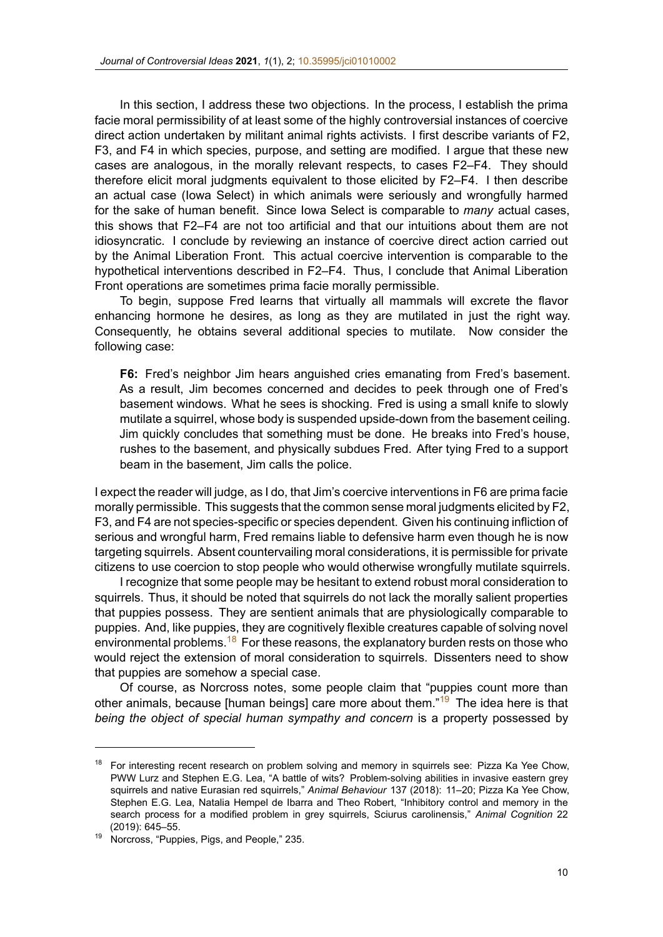In this section, I address these two objections. In the process, I establish the prima facie moral permissibility of at least so[me of the highly co](https://doi.org/10.35995/jci01010002)ntroversial instances of coercive direct action undertaken by militant animal rights activists. I first describe variants of F2, F3, and F4 in which species, purpose, and setting are modified. I argue that these new cases are analogous, in the morally relevant respects, to cases F2–F4. They should therefore elicit moral judgments equivalent to those elicited by F2–F4. I then describe an actual case (Iowa Select) in which animals were seriously and wrongfully harmed for the sake of human benefit. Since Iowa Select is comparable to *many* actual cases, this shows that F2–F4 are not too artificial and that our intuitions about them are not idiosyncratic. I conclude by reviewing an instance of coercive direct action carried out by the Animal Liberation Front. This actual coercive intervention is comparable to the hypothetical interventions described in F2–F4. Thus, I conclude that Animal Liberation Front operations are sometimes prima facie morally permissible.

To begin, suppose Fred learns that virtually all mammals will excrete the flavor enhancing hormone he desires, as long as they are mutilated in just the right way. Consequently, he obtains several additional species to mutilate. Now consider the following case:

**F6:** Fred's neighbor Jim hears anguished cries emanating from Fred's basement. As a result, Jim becomes concerned and decides to peek through one of Fred's basement windows. What he sees is shocking. Fred is using a small knife to slowly mutilate a squirrel, whose body is suspended upside-down from the basement ceiling. Jim quickly concludes that something must be done. He breaks into Fred's house, rushes to the basement, and physically subdues Fred. After tying Fred to a support beam in the basement, Jim calls the police.

I expect the reader will judge, as I do, that Jim's coercive interventions in F6 are prima facie morally permissible. This suggests that the common sense moral judgments elicited by F2, F3, and F4 are not species-specific or species dependent. Given his continuing infliction of serious and wrongful harm, Fred remains liable to defensive harm even though he is now targeting squirrels. Absent countervailing moral considerations, it is permissible for private citizens to use coercion to stop people who would otherwise wrongfully mutilate squirrels.

I recognize that some people may be hesitant to extend robust moral consideration to squirrels. Thus, it should be noted that squirrels do not lack the morally salient properties that puppies possess. They are sentient animals that are physiologically comparable to puppies. And, like puppies, they are cognitively flexible creatures capable of solving novel environmental problems.<sup>18</sup> For these reasons, the explanatory burden rests on those who would reject the extension of moral consideration to squirrels. Dissenters need to show that puppies are somehow a special case.

Of course, as Norcross notes, some people claim that "puppies count more than other animals, because [human beings] care more about them."<sup>19</sup> The idea here is that *being the object of special human sympathy and concern* is a property possessed by

<sup>&</sup>lt;sup>18</sup> For interesting recent research on problem solving and memory in squirrels see: Pizza Ka Yee Chow, PWW Lurz and Stephen E.G. Lea, "A battle of wits? Problem-solving abilities in invasive eastern grey squirrels and native Eurasian red squirrels," *Animal Behaviour* 137 (2018): 11–20; Pizza Ka Yee Chow, Stephen E.G. Lea, Natalia Hempel de Ibarra and Theo Robert, "Inhibitory control and memory in the search process for a modified problem in grey squirrels, Sciurus carolinensis," *Animal Cognition* 22 (2019): 645–55.

<sup>&</sup>lt;sup>19</sup> Norcross, "Puppies, Pigs, and People," 235.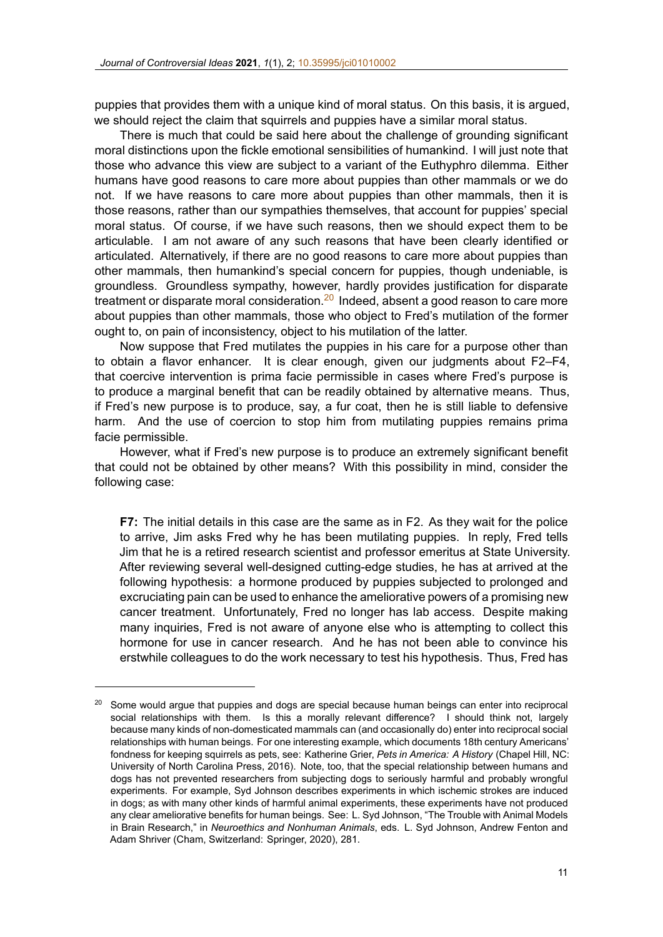puppies that provides them with a unique kind of moral status. On this basis, it is argued, we should reject the claim that squirr[els and puppies hav](https://doi.org/10.35995/jci01010002)e a similar moral status.

There is much that could be said here about the challenge of grounding significant moral distinctions upon the fickle emotional sensibilities of humankind. I will just note that those who advance this view are subject to a variant of the Euthyphro dilemma. Either humans have good reasons to care more about puppies than other mammals or we do not. If we have reasons to care more about puppies than other mammals, then it is those reasons, rather than our sympathies themselves, that account for puppies' special moral status. Of course, if we have such reasons, then we should expect them to be articulable. I am not aware of any such reasons that have been clearly identified or articulated. Alternatively, if there are no good reasons to care more about puppies than other mammals, then humankind's special concern for puppies, though undeniable, is groundless. Groundless sympathy, however, hardly provides justification for disparate treatment or disparate moral consideration. $^{20}$  Indeed, absent a good reason to care more about puppies than other mammals, those who object to Fred's mutilation of the former ought to, on pain of inconsistency, object to his mutilation of the latter.

Now suppose that Fred mutilates the puppies in his care for a purpose other than to obtain a flavor enhancer. It is clear enough, given our judgments about F2–F4, that coercive intervention is prima facie permissible in cases where Fred's purpose is to produce a marginal benefit that can be readily obtained by alternative means. Thus, if Fred's new purpose is to produce, say, a fur coat, then he is still liable to defensive harm. And the use of coercion to stop him from mutilating puppies remains prima facie permissible.

However, what if Fred's new purpose is to produce an extremely significant benefit that could not be obtained by other means? With this possibility in mind, consider the following case:

**F7:** The initial details in this case are the same as in F2. As they wait for the police to arrive, Jim asks Fred why he has been mutilating puppies. In reply, Fred tells Jim that he is a retired research scientist and professor emeritus at State University. After reviewing several well-designed cutting-edge studies, he has at arrived at the following hypothesis: a hormone produced by puppies subjected to prolonged and excruciating pain can be used to enhance the ameliorative powers of a promising new cancer treatment. Unfortunately, Fred no longer has lab access. Despite making many inquiries, Fred is not aware of anyone else who is attempting to collect this hormone for use in cancer research. And he has not been able to convince his erstwhile colleagues to do the work necessary to test his hypothesis. Thus, Fred has

 $20$  Some would argue that puppies and dogs are special because human beings can enter into reciprocal social relationships with them. Is this a morally relevant difference? I should think not, largely because many kinds of non-domesticated mammals can (and occasionally do) enter into reciprocal social relationships with human beings. For one interesting example, which documents 18th century Americans' fondness for keeping squirrels as pets, see: Katherine Grier, *Pets in America: A History* (Chapel Hill, NC: University of North Carolina Press, 2016). Note, too, that the special relationship between humans and dogs has not prevented researchers from subjecting dogs to seriously harmful and probably wrongful experiments. For example, Syd Johnson describes experiments in which ischemic strokes are induced in dogs; as with many other kinds of harmful animal experiments, these experiments have not produced any clear ameliorative benefits for human beings. See: L. Syd Johnson, "The Trouble with Animal Models in Brain Research," in *Neuroethics and Nonhuman Animals*, eds. L. Syd Johnson, Andrew Fenton and Adam Shriver (Cham, Switzerland: Springer, 2020), 281.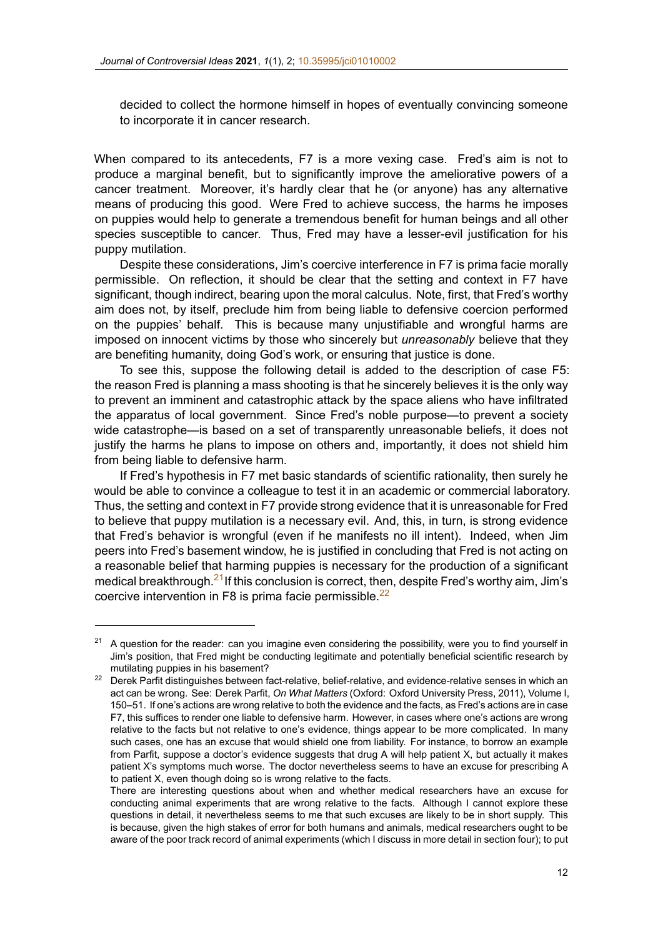decided to collect the hormone himself in hopes of eventually convincing someone to incorporate it in cancer resear[ch.](https://doi.org/10.35995/jci01010002)

When compared to its antecedents, F7 is a more vexing case. Fred's aim is not to produce a marginal benefit, but to significantly improve the ameliorative powers of a cancer treatment. Moreover, it's hardly clear that he (or anyone) has any alternative means of producing this good. Were Fred to achieve success, the harms he imposes on puppies would help to generate a tremendous benefit for human beings and all other species susceptible to cancer. Thus, Fred may have a lesser-evil justification for his puppy mutilation.

Despite these considerations, Jim's coercive interference in F7 is prima facie morally permissible. On reflection, it should be clear that the setting and context in F7 have significant, though indirect, bearing upon the moral calculus. Note, first, that Fred's worthy aim does not, by itself, preclude him from being liable to defensive coercion performed on the puppies' behalf. This is because many unjustifiable and wrongful harms are imposed on innocent victims by those who sincerely but *unreasonably* believe that they are benefiting humanity, doing God's work, or ensuring that justice is done.

To see this, suppose the following detail is added to the description of case F5: the reason Fred is planning a mass shooting is that he sincerely believes it is the only way to prevent an imminent and catastrophic attack by the space aliens who have infiltrated the apparatus of local government. Since Fred's noble purpose—to prevent a society wide catastrophe—is based on a set of transparently unreasonable beliefs, it does not justify the harms he plans to impose on others and, importantly, it does not shield him from being liable to defensive harm.

If Fred's hypothesis in F7 met basic standards of scientific rationality, then surely he would be able to convince a colleague to test it in an academic or commercial laboratory. Thus, the setting and context in F7 provide strong evidence that it is unreasonable for Fred to believe that puppy mutilation is a necessary evil. And, this, in turn, is strong evidence that Fred's behavior is wrongful (even if he manifests no ill intent). Indeed, when Jim peers into Fred's basement window, he is justified in concluding that Fred is not acting on a reasonable belief that harming puppies is necessary for the production of a significant medical breakthrough. $21$ If this conclusion is correct, then, despite Fred's worthy aim, Jim's coercive intervention in F8 is prima facie permissible. $^{22}$ 

<sup>&</sup>lt;sup>21</sup> A question for the reader: can you imagine even considering the possibility, were you to find yourself in Jim's position, that Fred might be conducting legitimate and potentially beneficial scientific research by mutilating puppies in his basement?

<sup>&</sup>lt;sup>22</sup> Derek Parfit distinguishes between fact-relative, belief-relative, and evidence-relative senses in which an act can be wrong. See: Derek Parfit, *On What Matters* (Oxford: Oxford University Press, 2011), Volume I, 150–51. If one's actions are wrong relative to both the evidence and the facts, as Fred's actions are in case F7, this suffices to render one liable to defensive harm. However, in cases where one's actions are wrong relative to the facts but not relative to one's evidence, things appear to be more complicated. In many such cases, one has an excuse that would shield one from liability. For instance, to borrow an example from Parfit, suppose a doctor's evidence suggests that drug A will help patient X, but actually it makes patient X's symptoms much worse. The doctor nevertheless seems to have an excuse for prescribing A to patient X, even though doing so is wrong relative to the facts.

There are interesting questions about when and whether medical researchers have an excuse for conducting animal experiments that are wrong relative to the facts. Although I cannot explore these questions in detail, it nevertheless seems to me that such excuses are likely to be in short supply. This is because, given the high stakes of error for both humans and animals, medical researchers ought to be aware of the poor track record of animal experiments (which I discuss in more detail in section four); to put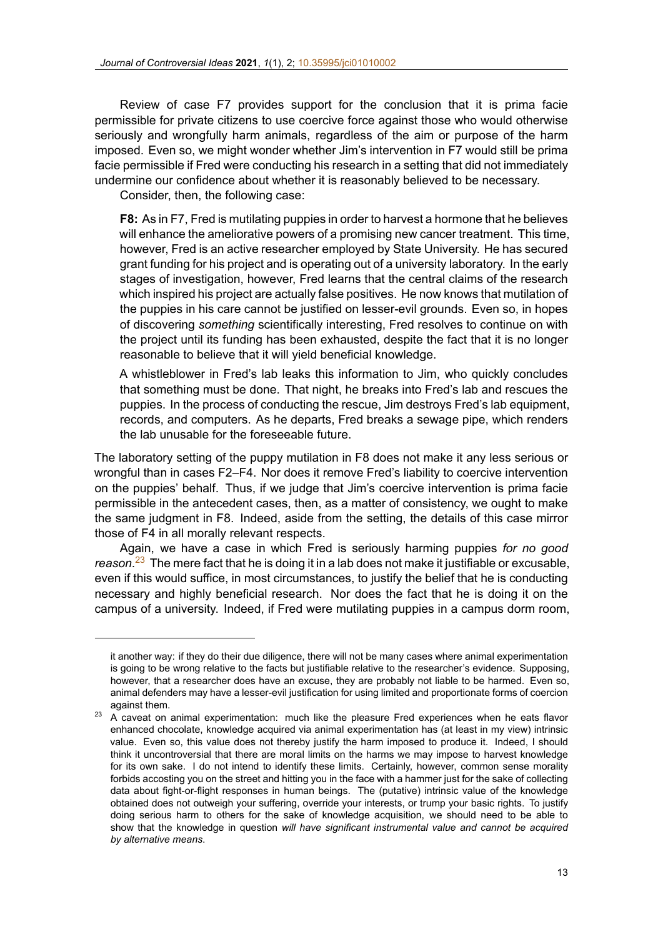Review of case F7 provides support for the conclusion that it is prima facie permissible for private citizens to use [coercive force aga](https://doi.org/10.35995/jci01010002)inst those who would otherwise seriously and wrongfully harm animals, regardless of the aim or purpose of the harm imposed. Even so, we might wonder whether Jim's intervention in F7 would still be prima facie permissible if Fred were conducting his research in a setting that did not immediately undermine our confidence about whether it is reasonably believed to be necessary.

Consider, then, the following case:

**F8:** As in F7, Fred is mutilating puppies in order to harvest a hormone that he believes will enhance the ameliorative powers of a promising new cancer treatment. This time, however, Fred is an active researcher employed by State University. He has secured grant funding for his project and is operating out of a university laboratory. In the early stages of investigation, however, Fred learns that the central claims of the research which inspired his project are actually false positives. He now knows that mutilation of the puppies in his care cannot be justified on lesserevil grounds. Even so, in hopes of discovering *something* scientifically interesting, Fred resolves to continue on with the project until its funding has been exhausted, despite the fact that it is no longer reasonable to believe that it will yield beneficial knowledge.

A whistleblower in Fred's lab leaks this information to Jim, who quickly concludes that something must be done. That night, he breaks into Fred's lab and rescues the puppies. In the process of conducting the rescue, Jim destroys Fred's lab equipment, records, and computers. As he departs, Fred breaks a sewage pipe, which renders the lab unusable for the foreseeable future.

The laboratory setting of the puppy mutilation in F8 does not make it any less serious or wrongful than in cases F2–F4. Nor does it remove Fred's liability to coercive intervention on the puppies' behalf. Thus, if we judge that Jim's coercive intervention is prima facie permissible in the antecedent cases, then, as a matter of consistency, we ought to make the same judgment in F8. Indeed, aside from the setting, the details of this case mirror those of F4 in all morally relevant respects.

Again, we have a case in which Fred is seriously harming puppies *for no good reason*. <sup>23</sup> The mere fact that he is doing it in a lab does not make it justifiable or excusable, even if this would suffice, in most circumstances, to justify the belief that he is conducting necessary and highly beneficial research. Nor does the fact that he is doing it on the campus of a university. Indeed, if Fred were mutilating puppies in a campus dorm room,

it another way: if they do their due diligence, there will not be many cases where animal experimentation is going to be wrong relative to the facts but justifiable relative to the researcher's evidence. Supposing, however, that a researcher does have an excuse, they are probably not liable to be harmed. Even so, animal defenders may have a lesserevil justification for using limited and proportionate forms of coercion against them.

 $23$  A caveat on animal experimentation: much like the pleasure Fred experiences when he eats flavor enhanced chocolate, knowledge acquired via animal experimentation has (at least in my view) intrinsic value. Even so, this value does not thereby justify the harm imposed to produce it. Indeed, I should think it uncontroversial that there are moral limits on the harms we may impose to harvest knowledge for its own sake. I do not intend to identify these limits. Certainly, however, common sense morality forbids accosting you on the street and hitting you in the face with a hammer just for the sake of collecting data about fight-or-flight responses in human beings. The (putative) intrinsic value of the knowledge obtained does not outweigh your suffering, override your interests, or trump your basic rights. To justify doing serious harm to others for the sake of knowledge acquisition, we should need to be able to show that the knowledge in question *will have significant instrumental value and cannot be acquired by alternative means*.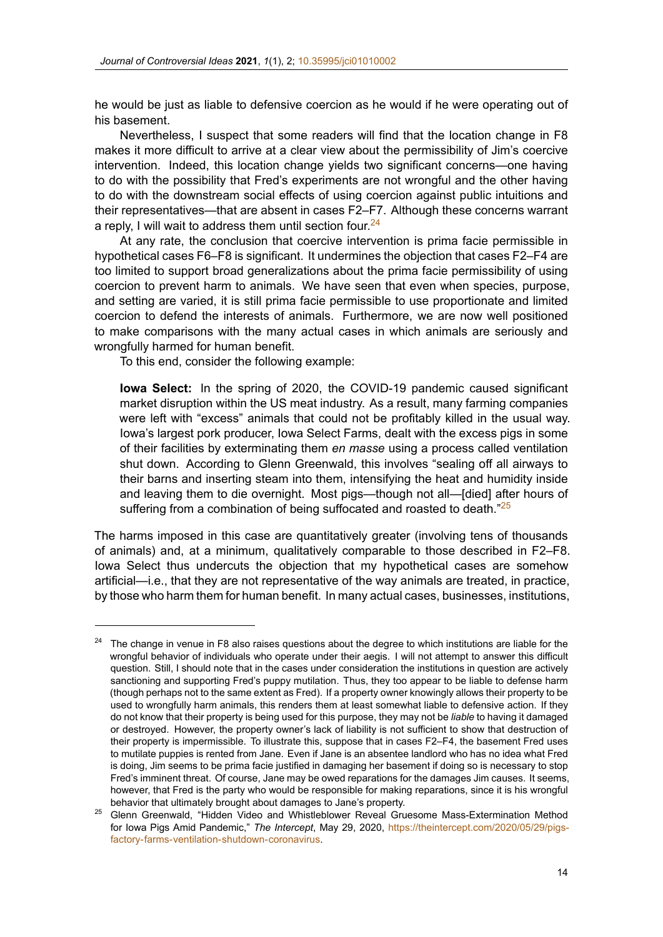he would be just as liable to defensiv[e coercion as he w](https://doi.org/10.35995/jci01010002)ould if he were operating out of his basement.

Nevertheless, I suspect that some readers will find that the location change in F8 makes it more difficult to arrive at a clear view about the permissibility of Jim's coercive intervention. Indeed, this location change yields two significant concerns—one having to do with the possibility that Fred's experiments are not wrongful and the other having to do with the downstream social effects of using coercion against public intuitions and their representatives—that are absent in cases F2–F7. Although these concerns warrant a reply, I will wait to address them until section four.  $24$ 

At any rate, the conclusion that coercive intervention is prima facie permissible in hypothetical cases F6–F8 is significant. It undermines the objection that cases F2–F4 are too limited to support broad generalizations about the prima facie permissibility of using coercion to prevent harm to animals. We have seen that even when species, purpose, and setting are varied, it is still prima facie permissible to use proportionate and limited coercion to defend the interests of animals. Furthermore, we are now well positioned to make comparisons with the many actual cases in which animals are seriously and wrongfully harmed for human benefit.

To this end, consider the following example:

**Iowa Select:** In the spring of 2020, the COVID-19 pandemic caused significant market disruption within the US meat industry. As a result, many farming companies were left with "excess" animals that could not be profitably killed in the usual way. Iowa's largest pork producer, Iowa Select Farms, dealt with the excess pigs in some of their facilities by exterminating them *en masse* using a process called ventilation shut down. According to Glenn Greenwald, this involves "sealing off all airways to their barns and inserting steam into them, intensifying the heat and humidity inside and leaving them to die overnight. Most pigs—though not all—[died] after hours of suffering from a combination of being suffocated and roasted to death."<sup>25</sup>

The harms imposed in this case are quantitatively greater (involving tens of thousands of animals) and, at a minimum, qualitatively comparable to those described in F2–F8. Iowa Select thus undercuts the objection that my hypothetical cases are somehow artificial—i.e., that they are not representative of the way animals are treated, in practice, by those who harm them for human benefit. In many actual cases, businesses, institutions,

 $24$  The change in venue in F8 also raises questions about the degree to which institutions are liable for the wrongful behavior of individuals who operate under their aegis. I will not attempt to answer this difficult question. Still, I should note that in the cases under consideration the institutions in question are actively sanctioning and supporting Fred's puppy mutilation. Thus, they too appear to be liable to defense harm (though perhaps not to the same extent as Fred). If a property owner knowingly allows their property to be used to wrongfully harm animals, this renders them at least somewhat liable to defensive action. If they do not know that their property is being used for this purpose, they may not be *liable* to having it damaged or destroyed. However, the property owner's lack of liability is not sufficient to show that destruction of their property is impermissible. To illustrate this, suppose that in cases F2–F4, the basement Fred uses to mutilate puppies is rented from Jane. Even if Jane is an absentee landlord who has no idea what Fred is doing, Jim seems to be prima facie justified in damaging her basement if doing so is necessary to stop Fred's imminent threat. Of course, Jane may be owed reparations for the damages Jim causes. It seems, however, that Fred is the party who would be responsible for making reparations, since it is his wrongful behavior that ultimately brought about damages to Jane's property.

<sup>&</sup>lt;sup>25</sup> Glenn Greenwald, "Hidden Video and Whistleblower Reveal Gruesome Mass-Extermination Method for Iowa Pigs Amid Pandemic," *The Intercept*, May 29, 2020, https://theintercept.com/2020/05/29/pigsfactory-farms-ventilation-shutdown-coronavirus.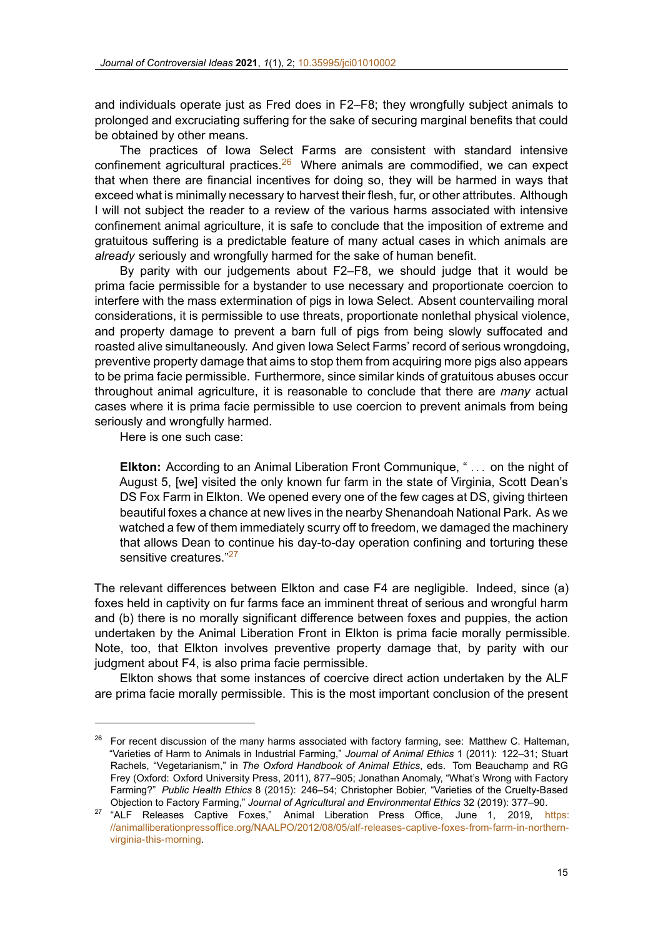and individuals operate just as Fred does in F2–F8; they wrongfully subject animals to prolonged and excruciating sufferingf[or the sake of secu](https://doi.org/10.35995/jci01010002)ring marginal benefits that could be obtained by other means.

The practices of Iowa Select Farms are consistent with standard intensive confinement agricultural practices. $26$  Where animals are commodified, we can expect that when there are financial incentives for doing so, they will be harmed in ways that exceed what is minimally necessary to harvest their flesh, fur, or other attributes. Although I will not subject the reader to a review of the various harms associated with intensive confinement animal agriculture, it is safe to conclude that the imposition of extreme and gratuitous suffering is a predictable feature of many actual cases in which animals are *already* seriously and wrongfully harmed for the sake of human benefit.

By parity with our judgements about F2–F8, we should judge that it would be prima facie permissible for a bystander to use necessary and proportionate coercion to interfere with the mass extermination of pigs in Iowa Select. Absent countervailing moral considerations, it is permissible to use threats, proportionate nonlethal physical violence, and property damage to prevent a barn full of pigs from being slowly suffocated and roasted alive simultaneously. And given Iowa Select Farms' record of serious wrongdoing, preventive property damage that aims to stop them from acquiring more pigs also appears to be prima facie permissible. Furthermore, since similar kinds of gratuitous abuses occur throughout animal agriculture, it is reasonable to conclude that there are *many* actual cases where it is prima facie permissible to use coercion to prevent animals from being seriously and wrongfully harmed.

Here is one such case:

**Elkton:** According to an Animal Liberation Front Communique, " *. . .* on the night of August 5, [we] visited the only known fur farm in the state of Virginia, Scott Dean's DS Fox Farm in Elkton. We opened every one of the few cages at DS, giving thirteen beautiful foxes a chance at new lives in the nearby Shenandoah National Park. As we watched a few of them immediately scurry off to freedom, we damaged the machinery that allows Dean to continue his day-to-day operation confining and torturing these sensitive creatures."<sup>27</sup>

The relevant differences between Elkton and case F4 are negligible. Indeed, since (a) foxes held in captivity on fur farms face an imminent threat of serious and wrongful harm and (b) there is no morally significant difference between foxes and puppies, the action undertaken by the Animal Liberation Front in Elkton is prima facie morally permissible. Note, too, that Elkton involves preventive property damage that, by parity with our judgment about F4, is also prima facie permissible.

Elkton shows that some instances of coercive direct action undertaken by the ALF are prima facie morally permissible. This is the most important conclusion of the present

<sup>26</sup> For recent discussion of the many harms associated with factory farming, see: Matthew C. Halteman, "Varieties of Harm to Animals in Industrial Farming," *Journal of Animal Ethics* 1 (2011): 122–31; Stuart Rachels, "Vegetarianism," in *The Oxford Handbook of Animal Ethics*, eds. Tom Beauchamp and RG Frey (Oxford: Oxford University Press, 2011), 877–905; Jonathan Anomaly, "What's Wrong with Factory Farming?" Public Health Ethics 8 (2015): 246-54; Christopher Bobier, "Varieties of the Cruelty-Based Objection to Factory Farming," *Journal of Agricultural and Environmental Ethics* 32 (2019): 377–90.

<sup>&</sup>lt;sup>27</sup> "ALF Releases Captive Foxes," Animal Liberation Press Office, June 1, 2019, https: //animalliberationpressoffice.org/NAALPO/2012/08/05/alf-releases-captive-foxes-from-farm-in-northernvirginia-this-morning.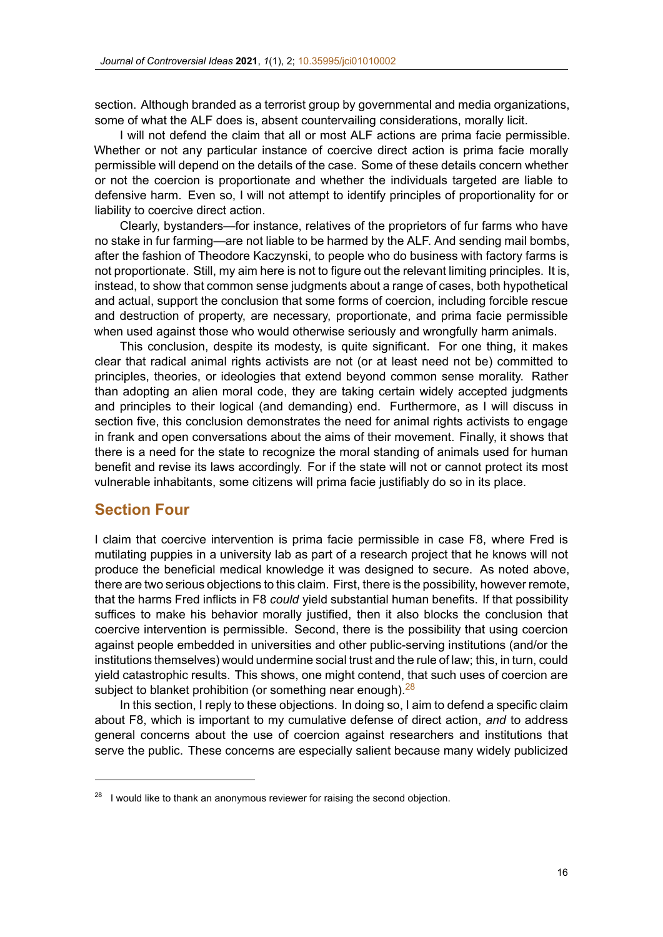section. Although branded as a terrorist group by governmental and media organizations, some of what the ALF does is, absen[t countervailing con](https://doi.org/10.35995/jci01010002)siderations, morally licit.

I will not defend the claim that all or most ALF actions are prima facie permissible. Whether or not any particular instance of coercive direct action is prima facie morally permissible will depend on the details of the case. Some of these details concern whether or not the coercion is proportionate and whether the individuals targeted are liable to defensive harm. Even so, I will not attempt to identify principles of proportionality for or liability to coercive direct action.

Clearly, bystanders—for instance, relatives of the proprietors of fur farms who have no stake in fur farming—are not liable to be harmed by the ALF. And sending mail bombs, after the fashion of Theodore Kaczynski, to people who do business with factory farms is not proportionate. Still, my aim here is not to figure out the relevant limiting principles. It is, instead, to show that common sense judgments about a range of cases, both hypothetical and actual, support the conclusion that some forms of coercion, including forcible rescue and destruction of property, are necessary, proportionate, and prima facie permissible when used against those who would otherwise seriously and wrongfully harm animals.

This conclusion, despite its modesty, is quite significant. For one thing, it makes clear that radical animal rights activists are not (or at least need not be) committed to principles, theories, or ideologies that extend beyond common sense morality. Rather than adopting an alien moral code, they are taking certain widely accepted judgments and principles to their logical (and demanding) end. Furthermore, as I will discuss in section five, this conclusion demonstrates the need for animal rights activists to engage in frank and open conversations about the aims of their movement. Finally, it shows that there is a need for the state to recognize the moral standing of animals used for human benefit and revise its laws accordingly. For if the state will not or cannot protect its most vulnerable inhabitants, some citizens will prima facie justifiably do so in its place.

## **Section Four**

I claim that coercive intervention is prima facie permissible in case F8, where Fred is mutilating puppies in a university lab as part of a research project that he knows will not produce the beneficial medical knowledge it was designed to secure. As noted above, there are two serious objections to this claim. First, there is the possibility, however remote, that the harms Fred inflicts in F8 *could* yield substantial human benefits. If that possibility suffices to make his behavior morally justified, then it also blocks the conclusion that coercive intervention is permissible. Second, there is the possibility that using coercion against people embedded in universities and other public-serving institutions (and/or the institutions themselves) would undermine social trust and the rule of law; this, in turn, could yield catastrophic results. This shows, one might contend, that such uses of coercion are subject to blanket prohibition (or something near enough).<sup>28</sup>

In this section, I reply to these objections. In doing so, I aim to defend a specific claim about F8, which is important to my cumulative defense of direct action, *and* to address general concerns about the use of coercion against researchers and institutions that serve the public. These concerns are especially salient because many widely publicized

 $28$  I would like to thank an anonymous reviewer for raising the second objection.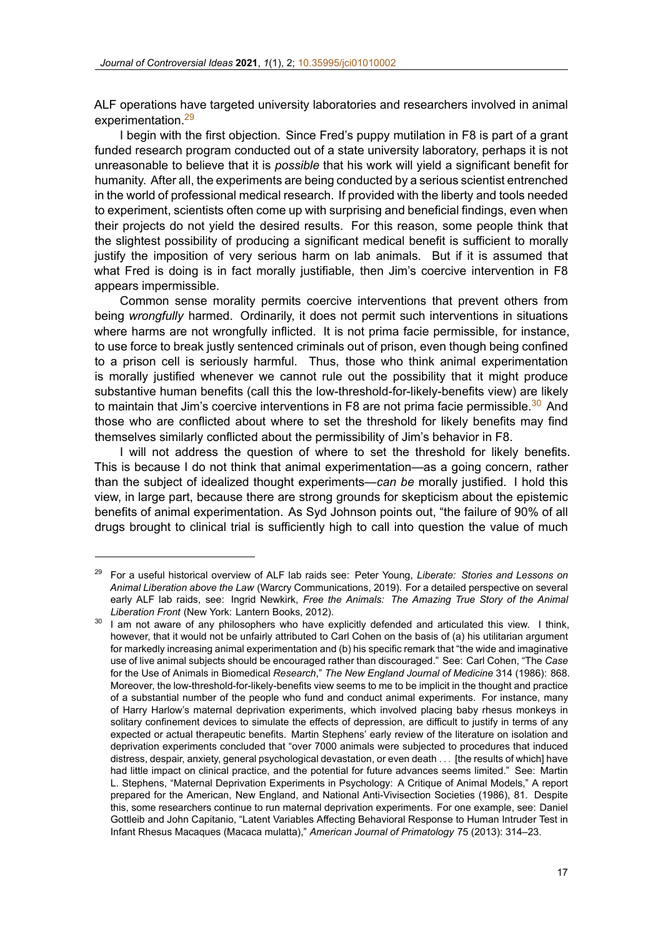ALF operations have targeted university laboratories and researchers involved in animal experimentation.<sup>29</sup>

I begin with the first objection. Since Fred's puppy mutilation in F8 is part of a grant funded research program conducted out of a state university laboratory, perhaps it is not unreasonable to believe that it is *possible* that his work will yield a significant benefit for humanity. After all, the experiments are being conducted by a serious scientist entrenched in the world of professional medical research. If provided with the liberty and tools needed to experiment, scientists often come up with surprising and beneficial findings, even when their projects do not yield the desired results. For this reason, some people think that the slightest possibility of producing a significant medical benefit is sufficient to morally justify the imposition of very serious harm on lab animals. But if it is assumed that what Fred is doing is in fact morally justifiable, then Jim's coercive intervention in F8 appears impermissible.

Common sense morality permits coercive interventions that prevent others from being *wrongfully* harmed. Ordinarily, it does not permit such interventions in situations where harms are not wrongfully inflicted. It is not prima facie permissible, for instance, to use force to break justly sentenced criminals out of prison, even though being confined to a prison cell is seriously harmful. Thus, those who think animal experimentation is morally justified whenever we cannot rule out the possibility that it might produce substantive human benefits (call this the low-threshold-for-likely-benefits view) are likely to maintain that Jim's coercive interventions in F8 are not prima facie permissible. $30$  And those who are conflicted about where to set the threshold for likely benefits may find themselves similarly conflicted about the permissibility of Jim's behavior in F8.

I will not address the question of where to set the threshold for likely benefits. This is because I do not think that animal experimentation—as a going concern, rather than the subject of idealized thought experiments—*can be* morally justified. I hold this view, in large part, because there are strong grounds for skepticism about the epistemic benefits of animal experimentation. As Syd Johnson points out, "the failure of 90% of all drugs brought to clinical trial is sufficiently high to call into question the value of much

<sup>29</sup> For a useful historical overview of ALF lab raids see: Peter Young, *Liberate: Stories and Lessons on Animal Liberation above the Law* (Warcry Communications, 2019). For a detailed perspective on several early ALF lab raids, see: Ingrid Newkirk, *Free the Animals: The Amazing True Story of the Animal Liberation Front* (New York: Lantern Books, 2012).

<sup>&</sup>lt;sup>30</sup> I am not aware of any philosophers who have explicitly defended and articulated this view. I think, however, that it would not be unfairly attributed to Carl Cohen on the basis of (a) his utilitarian argument for markedly increasing animal experimentation and (b) his specific remark that "the wide and imaginative use of live animal subjects should be encouraged rather than discouraged." See: Carl Cohen, "The *Case* for the Use of Animals in Biomedical *Research*," *The New England Journal of Medicine* 314 (1986): 868. Moreover, the low-threshold-for-likely-benefits view seems to me to be implicit in the thought and practice of a substantial number of the people who fund and conduct animal experiments. For instance, many of Harry Harlow's maternal deprivation experiments, which involved placing baby rhesus monkeys in solitary confinement devices to simulate the effects of depression, are difficult to justify in terms of any expected or actual therapeutic benefits. Martin Stephens' early review of the literature on isolation and deprivation experiments concluded that "over 7000 animals were subjected to procedures that induced distress, despair, anxiety, general psychological devastation, or even death *. . .* [the results of which] have had little impact on clinical practice, and the potential for future advances seems limited." See: Martin L. Stephens, "Maternal Deprivation Experiments in Psychology: A Critique of Animal Models," A report prepared for the American, New England, and National Anti-Vivisection Societies (1986), 81. Despite this, some researchers continue to run maternal deprivation experiments. For one example, see: Daniel Gottleib and John Capitanio, "Latent Variables Affecting Behavioral Response to Human Intruder Test in Infant Rhesus Macaques (Macaca mulatta)," *American Journal of Primatology* 75 (2013): 314–23.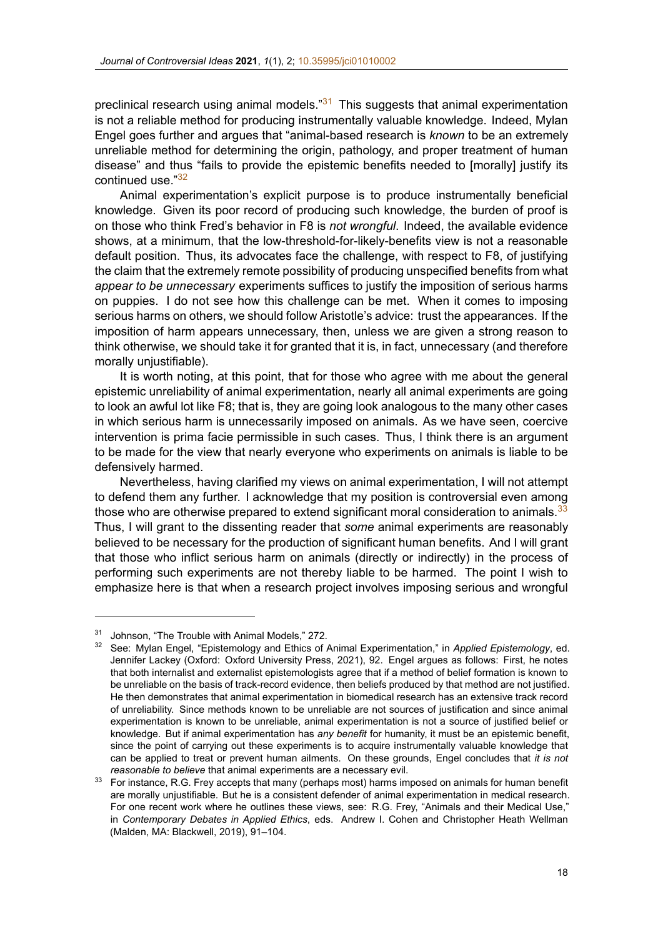preclinical research using animal models."<sup>31</sup> This suggests that animal experimentation is not a reliable method for producing [instrumentally valu](https://doi.org/10.35995/jci01010002)able knowledge. Indeed, Mylan Engel goes further and argues that "animalbased research is *known* to be an extremely unreliable method for determining the origin, pathology, and proper treatment of human disease" and thus "fails to provide the epistemic benefits needed to [morally] justify its continued use."<sup>32</sup>

Animal experimentation's explicit purpose is to produce instrumentally beneficial knowledge. Given its poor record of producing such knowledge, the burden of proof is on those who think Fred's behavior in F8 is *not wrongful*. Indeed, the available evidence shows, at a minimum, that the low-threshold-for-likely-benefits view is not a reasonable default position. Thus, its advocates face the challenge, with respect to F8, of justifying the claim that the extremely remote possibility of producing unspecified benefits from what *appear to be unnecessary* experiments suffices to justify the imposition of serious harms on puppies. I do not see how this challenge can be met. When it comes to imposing serious harms on others, we should follow Aristotle's advice: trust the appearances. If the imposition of harm appears unnecessary, then, unless we are given a strong reason to think otherwise, we should take it for granted that it is, in fact, unnecessary (and therefore morally unjustifiable).

It is worth noting, at this point, that for those who agree with me about the general epistemic unreliability of animal experimentation, nearly all animal experiments are going to look an awful lot like F8; that is, they are going look analogous to the many other cases in which serious harm is unnecessarily imposed on animals. As we have seen, coercive intervention is prima facie permissible in such cases. Thus, I think there is an argument to be made for the view that nearly everyone who experiments on animals is liable to be defensively harmed.

Nevertheless, having clarified my views on animal experimentation, I will not attempt to defend them any further. I acknowledge that my position is controversial even among those who are otherwise prepared to extend significant moral consideration to animals.<sup>33</sup> Thus, I will grant to the dissenting reader that *some* animal experiments are reasonably believed to be necessary for the production of significant human benefits. And I will grant that those who inflict serious harm on animals (directly or indirectly) in the process of performing such experiments are not thereby liable to be harmed. The point I wish to emphasize here is that when a research project involves imposing serious and wrongful

<sup>31</sup> Johnson, "The Trouble with Animal Models," 272.

<sup>32</sup> See: Mylan Engel, "Epistemology and Ethics of Animal Experimentation," in *Applied Epistemology*, ed. Jennifer Lackey (Oxford: Oxford University Press, 2021), 92. Engel argues as follows: First, he notes that both internalist and externalist epistemologists agree that if a method of belief formation is known to be unreliable on the basis of track-record evidence, then beliefs produced by that method are not justified. He then demonstrates that animal experimentation in biomedical research has an extensive track record of unreliability. Since methods known to be unreliable are not sources of justification and since animal experimentation is known to be unreliable, animal experimentation is not a source of justified belief or knowledge. But if animal experimentation has *any benefit* for humanity, it must be an epistemic benefit, since the point of carrying out these experiments is to acquire instrumentally valuable knowledge that can be applied to treat or prevent human ailments. On these grounds, Engel concludes that *it is not reasonable to believe* that animal experiments are a necessary evil.

 $33$  For instance, R.G. Frey accepts that many (perhaps most) harms imposed on animals for human benefit are morally unjustifiable. But he is a consistent defender of animal experimentation in medical research. For one recent work where he outlines these views, see: R.G. Frey, "Animals and their Medical Use," in *Contemporary Debates in Applied Ethics*, eds. Andrew I. Cohen and Christopher Heath Wellman (Malden, MA: Blackwell, 2019), 91–104.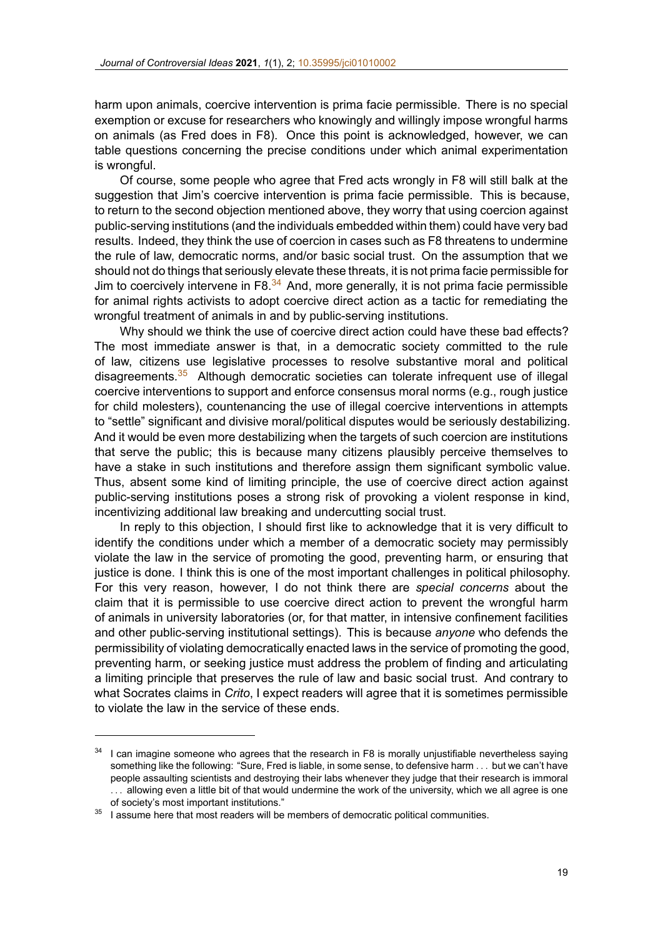harm upon animals, coercive intervention is prima facie permissible. There is no special exemption or excuse for researchers [who knowingly and](https://doi.org/10.35995/jci01010002) willingly impose wrongful harms on animals (as Fred does in F8). Once this point is acknowledged, however, we can table questions concerning the precise conditions under which animal experimentation is wrongful.

Of course, some people who agree that Fred acts wrongly in F8 will still balk at the suggestion that Jim's coercive intervention is prima facie permissible. This is because, to return to the second objection mentioned above, they worry that using coercion against public-serving institutions (and the individuals embedded within them) could have very bad results. Indeed, they think the use of coercion in cases such as F8 threatens to undermine the rule of law, democratic norms, and/or basic social trust. On the assumption that we should not do things that seriously elevate these threats, it is not prima facie permissible for Jim to coercively intervene in F8. $34$  And, more generally, it is not prima facie permissible for animal rights activists to adopt coercive direct action as a tactic for remediating the wrongful treatment of animals in and by public-serving institutions.

Why should we think the use of coercive direct action could have these bad effects? The most immediate answer is that, in a democratic society committed to the rule of law, citizens use legislative processes to resolve substantive moral and political disagreements.<sup>35</sup> Although democratic societies can tolerate infrequent use of illegal coercive interventions to support and enforce consensus moral norms (e.g., rough justice for child molesters), countenancing the use of illegal coercive interventions in attempts to "settle" significant and divisive moral/political disputes would be seriously destabilizing. And it would be even more destabilizing when the targets of such coercion are institutions that serve the public; this is because many citizens plausibly perceive themselves to have a stake in such institutions and therefore assign them significant symbolic value. Thus, absent some kind of limiting principle, the use of coercive direct action against public-serving institutions poses a strong risk of provoking a violent response in kind, incentivizing additional law breaking and undercutting social trust.

In reply to this objection, I should first like to acknowledge that it is very difficult to identify the conditions under which a member of a democratic society may permissibly violate the law in the service of promoting the good, preventing harm, or ensuring that justice is done. I think this is one of the most important challenges in political philosophy. For this very reason, however, I do not think there are *special concerns* about the claim that it is permissible to use coercive direct action to prevent the wrongful harm of animals in university laboratories (or, for that matter, in intensive confinement facilities and other public-serving institutional settings). This is because *anyone* who defends the permissibility of violating democratically enacted laws in the service of promoting the good, preventing harm, or seeking justice must address the problem of finding and articulating a limiting principle that preserves the rule of law and basic social trust. And contrary to what Socrates claims in *Crito*, I expect readers will agree that it is sometimes permissible to violate the law in the service of these ends.

 $34$  I can imagine someone who agrees that the research in F8 is morally unjustifiable nevertheless saying something like the following: "Sure, Fred is liable, in some sense, to defensive harm *. . .* but we can't have people assaulting scientists and destroying their labs whenever they judge that their research is immoral *. . .* allowing even a little bit of that would undermine the work of the university, which we all agree is one of society's most important institutions."

 $35$  I assume here that most readers will be members of democratic political communities.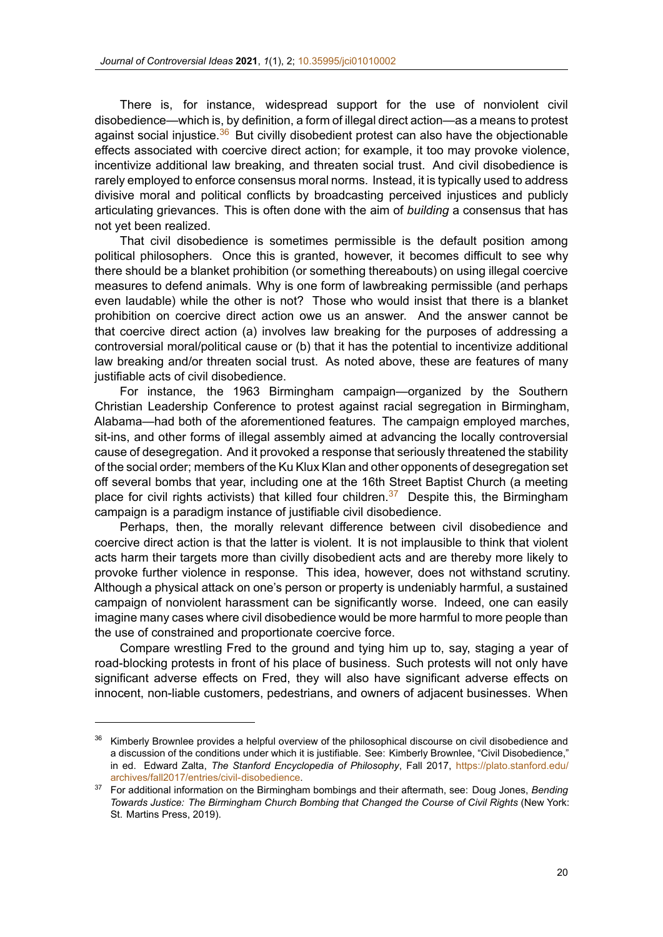There is, for instance, widespread support for the use of nonviolent civil disobedience—which is, by definition, [a form of illegal dire](https://doi.org/10.35995/jci01010002)ct action—as a means to protest against social injustice. $36$  But civilly disobedient protest can also have the objectionable effects associated with coercive direct action; for example, it too may provoke violence, incentivize additional law breaking, and threaten social trust. And civil disobedience is rarely employed to enforce consensus moral norms. Instead, it is typically used to address divisive moral and political conflicts by broadcasting perceived injustices and publicly articulating grievances. This is often done with the aim of *building* a consensus that has not yet been realized.

That civil disobedience is sometimes permissible is the default position among political philosophers. Once this is granted, however, it becomes difficult to see why there should be a blanket prohibition (or something thereabouts) on using illegal coercive measures to defend animals. Why is one form of lawbreaking permissible (and perhaps even laudable) while the other is not? Those who would insist that there is a blanket prohibition on coercive direct action owe us an answer. And the answer cannot be that coercive direct action (a) involves law breaking for the purposes of addressing a controversial moral/political cause or (b) that it has the potential to incentivize additional law breaking and/or threaten social trust. As noted above, these are features of many justifiable acts of civil disobedience.

For instance, the 1963 Birmingham campaign—organized by the Southern Christian Leadership Conference to protest against racial segregation in Birmingham, Alabama—had both of the aforementioned features. The campaign employed marches, sit-ins, and other forms of illegal assembly aimed at advancing the locally controversial cause of desegregation. And it provoked a response that seriously threatened the stability of the social order; members of the Ku Klux Klan and other opponents of desegregation set off several bombs that year, including one at the 16th Street Baptist Church (a meeting place for civil rights activists) that killed four children.<sup>37</sup> Despite this, the Birmingham campaign is a paradigm instance of justifiable civil disobedience.

Perhaps, then, the morally relevant difference between civil disobedience and coercive direct action is that the latter is violent. It is not implausible to think that violent acts harm their targets more than civilly disobedient acts and are thereby more likely to provoke further violence in response. This idea, however, does not withstand scrutiny. Although a physical attack on one's person or property is undeniably harmful, a sustained campaign of nonviolent harassment can be significantly worse. Indeed, one can easily imagine many cases where civil disobedience would be more harmful to more people than the use of constrained and proportionate coercive force.

Compare wrestling Fred to the ground and tying him up to, say, staging a year of road-blocking protests in front of his place of business. Such protests will not only have significant adverse effects on Fred, they will also have significant adverse effects on innocent, non-liable customers, pedestrians, and owners of adjacent businesses. When

<sup>36</sup> Kimberly Brownlee provides a helpful overview of the philosophical discourse on civil disobedience and a discussion of the conditions under which it is justifiable. See: Kimberly Brownlee, "Civil Disobedience," in ed. Edward Zalta, *The Stanford Encyclopedia of Philosophy*, Fall 2017, https://plato.stanford.edu/ archives/fall2017/entries/civil-disobedience.

<sup>37</sup> For additional information on the Birmingham bombings and their aftermath, see: Doug Jones, *Bending Towards Justice: The Birmingham Church Bombing that Changed the Course of Civil Rights* (New York: St. Martins Press, 2019).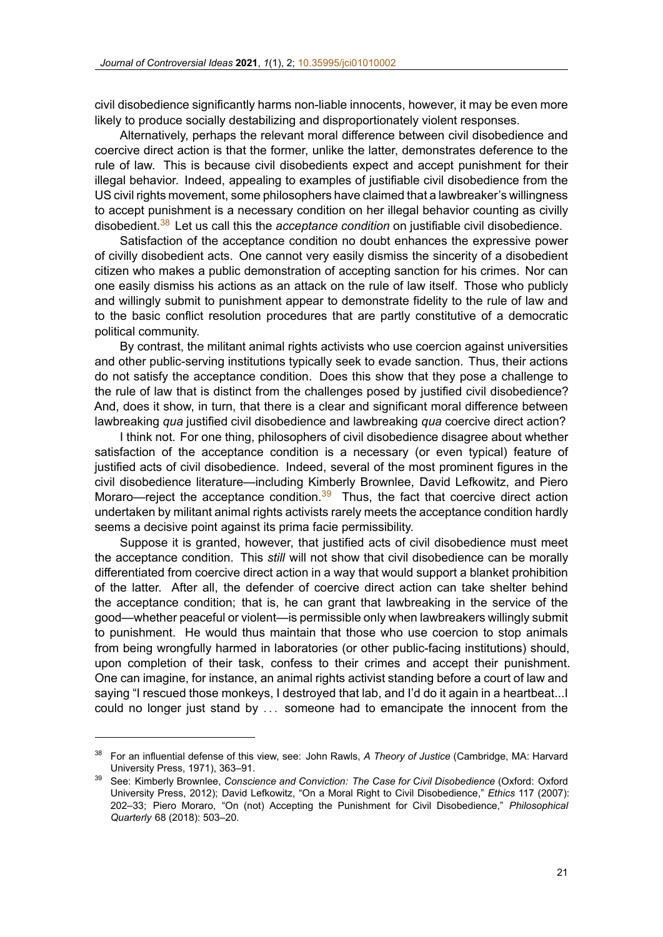civil disobedience significantly harms non-liable innocents, however, it may be even more likely to produce socially destabilizing [and disproportiona](https://doi.org/10.35995/jci01010002)tely violent responses.

Alternatively, perhaps the relevant moral difference between civil disobedience and coercive direct action is that the former, unlike the latter, demonstrates deference to the rule of law. This is because civil disobedients expect and accept punishment for their illegal behavior. Indeed, appealing to examples of justifiable civil disobedience from the US civil rights movement, some philosophers have claimed that a lawbreaker's willingness to accept punishment is a necessary condition on her illegal behavior counting as civilly disobedient.<sup>38</sup> Let us call this the *acceptance condition* on justifiable civil disobedience.

Satisfaction of the acceptance condition no doubt enhances the expressive power of civilly disobedient acts. One cannot very easily dismiss the sincerity of a disobedient citizen who makes a public demonstration of accepting sanction for his crimes. Nor can one easily dismiss his actions as an attack on the rule of law itself. Those who publicly and willingly submit to punishment appear to demonstrate fidelity to the rule of law and to the basic conflict resolution procedures that are partly constitutive of a democratic political community.

By contrast, the militant animal rights activists who use coercion against universities and other public-serving institutions typically seek to evade sanction. Thus, their actions do not satisfy the acceptance condition. Does this show that they pose a challenge to the rule of law that is distinct from the challenges posed by justified civil disobedience? And, does it show, in turn, that there is a clear and significant moral difference between lawbreaking *qua* justified civil disobedience and lawbreaking *qua* coercive direct action?

I think not. For one thing, philosophers of civil disobedience disagree about whether satisfaction of the acceptance condition is a necessary (or even typical) feature of justified acts of civil disobedience. Indeed, several of the most prominent figures in the civil disobedience literature—including Kimberly Brownlee, David Lefkowitz, and Piero Moraro—reject the acceptance condition. $39$  Thus, the fact that coercive direct action undertaken by militant animal rights activists rarely meets the acceptance condition hardly seems a decisive point against its prima facie permissibility.

Suppose it is granted, however, that justified acts of civil disobedience must meet the acceptance condition. This *still* will not show that civil disobedience can be morally differentiated from coercive direct action in a way that would support a blanket prohibition of the latter. After all, the defender of coercive direct action can take shelter behind the acceptance condition; that is, he can grant that lawbreaking in the service of the good—whether peaceful or violent—is permissible only when lawbreakers willingly submit to punishment. He would thus maintain that those who use coercion to stop animals from being wrongfully harmed in laboratories (or other public-facing institutions) should, upon completion of their task, confess to their crimes and accept their punishment. One can imagine, for instance, an animal rights activist standing before a court of law and saying "I rescued those monkeys, I destroyed that lab, and I'd do it again in a heartbeat...I could no longer just stand by *. . .* someone had to emancipate the innocent from the

<sup>38</sup> For an influential defense of this view, see: John Rawls, *A Theory of Justice* (Cambridge, MA: Harvard University Press, 1971), 363–91.

<sup>39</sup> See: Kimberly Brownlee, *Conscience and Conviction: The Case for Civil Disobedience* (Oxford: Oxford University Press, 2012); David Lefkowitz, "On a Moral Right to Civil Disobedience," *Ethics* 117 (2007): 202–33; Piero Moraro, "On (not) Accepting the Punishment for Civil Disobedience," *Philosophical Quarterly* 68 (2018): 503–20.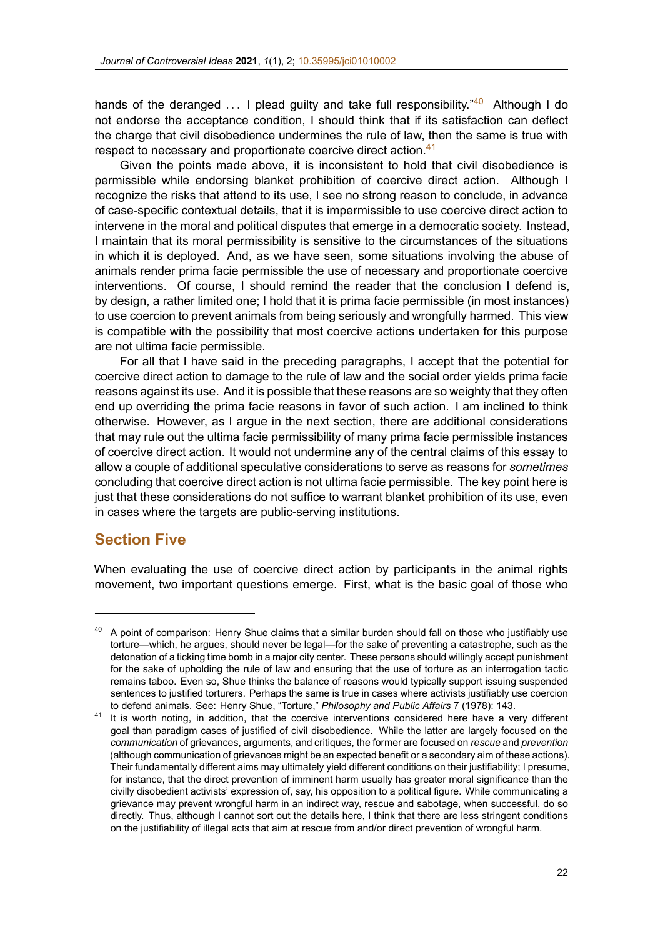hands of the deranged ... I plead quilty and take full responsibility.<sup>"40</sup> Although I do not endorse the acceptance conditio[n, I should think th](https://doi.org/10.35995/jci01010002)at if its satisfaction can deflect the charge that civil disobedience undermines the rule of law, then the same is true with respect to necessary and proportionate coercive direct action.<sup>41</sup>

Given the points made above, it is inconsistent to hold that civil disobedience is permissible while endorsing blanket prohibition of coercive direct action. Although I recognize the risks that attend to its use, I see no strong reason to conclude, in advance of case-specific contextual details, that it is impermissible to use coercive direct action to intervene in the moral and political disputes that emerge in a democratic society. Instead, I maintain that its moral permissibility is sensitive to the circumstances of the situations in which it is deployed. And, as we have seen, some situations involving the abuse of animals render prima facie permissible the use of necessary and proportionate coercive interventions. Of course, I should remind the reader that the conclusion I defend is, by design, a rather limited one; I hold that it is prima facie permissible (in most instances) to use coercion to prevent animals from being seriously and wrongfully harmed. This view is compatible with the possibility that most coercive actions undertaken for this purpose are not ultima facie permissible.

For all that I have said in the preceding paragraphs, I accept that the potential for coercive direct action to damage to the rule of law and the social order yields prima facie reasons against its use. And it is possible that these reasons are so weighty that they often end up overriding the prima facie reasons in favor of such action. I am inclined to think otherwise. However, as I argue in the next section, there are additional considerations that may rule out the ultima facie permissibility of many prima facie permissible instances of coercive direct action. It would not undermine any of the central claims of this essay to allow a couple of additional speculative considerations to serve as reasons for *sometimes* concluding that coercive direct action is not ultima facie permissible. The key point here is just that these considerations do not suffice to warrant blanket prohibition of its use, even in cases where the targets are public-serving institutions.

### **Section Five**

When evaluating the use of coercive direct action by participants in the animal rights movement, two important questions emerge. First, what is the basic goal of those who

<sup>&</sup>lt;sup>40</sup> A point of comparison: Henry Shue claims that a similar burden should fall on those who justifiably use torture—which, he argues, should never be legal—for the sake of preventing a catastrophe, such as the detonation of a ticking time bomb in a major city center. These persons should willingly accept punishment for the sake of upholding the rule of law and ensuring that the use of torture as an interrogation tactic remains taboo. Even so, Shue thinks the balance of reasons would typically support issuing suspended sentences to justified torturers. Perhaps the same is true in cases where activists justifiably use coercion to defend animals. See: Henry Shue, "Torture," *Philosophy and Public Affairs* 7 (1978): 143.

<sup>&</sup>lt;sup>41</sup> It is worth noting, in addition, that the coercive interventions considered here have a very different goal than paradigm cases of justified of civil disobedience. While the latter are largely focused on the *communication* of grievances, arguments, and critiques, the former are focused on *rescue* and *prevention* (although communication of grievances might be an expected benefit or a secondary aim of these actions). Their fundamentally different aims may ultimately yield different conditions on their justifiability; I presume, for instance, that the direct prevention of imminent harm usually has greater moral significance than the civilly disobedient activists' expression of, say, his opposition to a political figure. While communicating a grievance may prevent wrongful harm in an indirect way, rescue and sabotage, when successful, do so directly. Thus, although I cannot sort out the details here, I think that there are less stringent conditions on the justifiability of illegal acts that aim at rescue from and/or direct prevention of wrongful harm.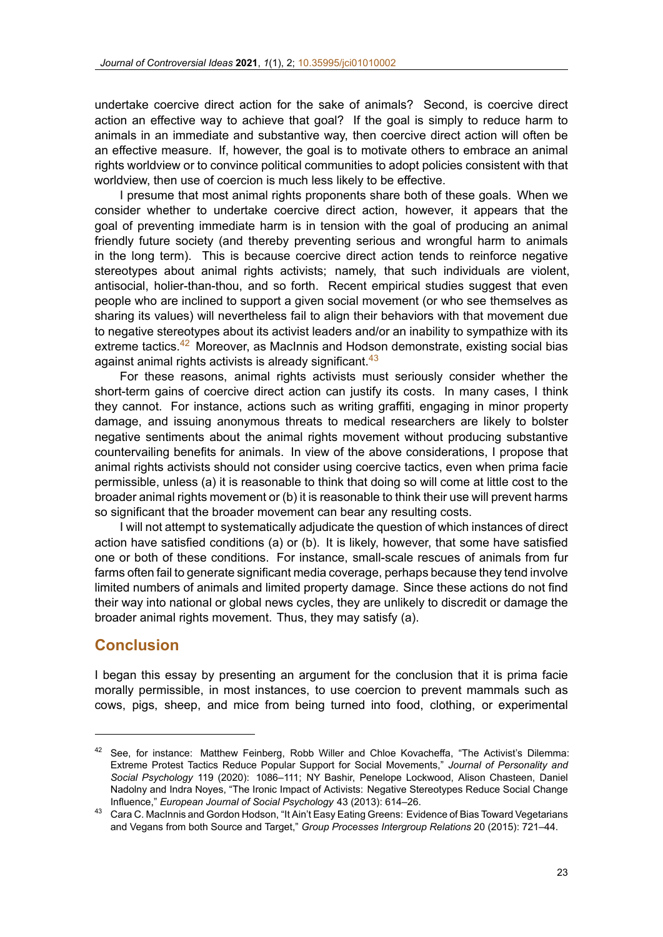undertake coercive direct action for the sake of animals? Second, is coercive direct action an effective way to achieve t[hat goal? If the go](https://doi.org/10.35995/jci01010002)al is simply to reduce harm to animals in an immediate and substantive way, then coercive direct action will often be an effective measure. If, however, the goal is to motivate others to embrace an animal rights worldview or to convince political communities to adopt policies consistent with that worldview, then use of coercion is much less likely to be effective.

I presume that most animal rights proponents share both of these goals. When we consider whether to undertake coercive direct action, however, it appears that the goal of preventing immediate harm is in tension with the goal of producing an animal friendly future society (and thereby preventing serious and wrongful harm to animals in the long term). This is because coercive direct action tends to reinforce negative stereotypes about animal rights activists; namely, that such individuals are violent, antisocial, holier-than-thou, and so forth. Recent empirical studies suggest that even people who are inclined to support a given social movement (or who see themselves as sharing its values) will nevertheless fail to align their behaviors with that movement due to negative stereotypes about its activist leaders and/or an inability to sympathize with its extreme tactics. $42$  Moreover, as MacInnis and Hodson demonstrate, existing social bias against animal rights activists is already significant.<sup>43</sup>

For these reasons, animal rights activists must seriously consider whether the short-term gains of coercive direct action can justify its costs. In many cases, I think they cannot. For instance, actions such as writing graffiti, engaging in minor property damage, and issuing anonymous threats to medical researchers are likely to bolster negative sentiments about the animal rights movement without producing substantive countervailing benefits for animals. In view of the above considerations, I propose that animal rights activists should not consider using coercive tactics, even when prima facie permissible, unless (a) it is reasonable to think that doing so will come at little cost to the broader animal rights movement or (b) it is reasonable to think their use will prevent harms so significant that the broader movement can bear any resulting costs.

I will not attempt to systematically adjudicate the question of which instances of direct action have satisfied conditions (a) or (b). It is likely, however, that some have satisfied one or both of these conditions. For instance, small-scale rescues of animals from fur farms often fail to generate significant media coverage, perhaps because they tend involve limited numbers of animals and limited property damage. Since these actions do not find their way into national or global news cycles, they are unlikely to discredit or damage the broader animal rights movement. Thus, they may satisfy (a).

#### **Conclusion**

I began this essay by presenting an argument for the conclusion that it is prima facie morally permissible, in most instances, to use coercion to prevent mammals such as cows, pigs, sheep, and mice from being turned into food, clothing, or experimental

<sup>42</sup> See, for instance: Matthew Feinberg, Robb Willer and Chloe Kovacheffa, "The Activist's Dilemma: Extreme Protest Tactics Reduce Popular Support for Social Movements," *Journal of Personality and Social Psychology* 119 (2020): 1086–111; NY Bashir, Penelope Lockwood, Alison Chasteen, Daniel Nadolny and Indra Noyes, "The Ironic Impact of Activists: Negative Stereotypes Reduce Social Change Influence," *European Journal of Social Psychology* 43 (2013): 614–26.

<sup>43</sup> Cara C. MacInnis and Gordon Hodson, "It Ain't Easy Eating Greens: Evidence of Bias Toward Vegetarians and Vegans from both Source and Target," *Group Processes Intergroup Relations* 20 (2015): 721–44.